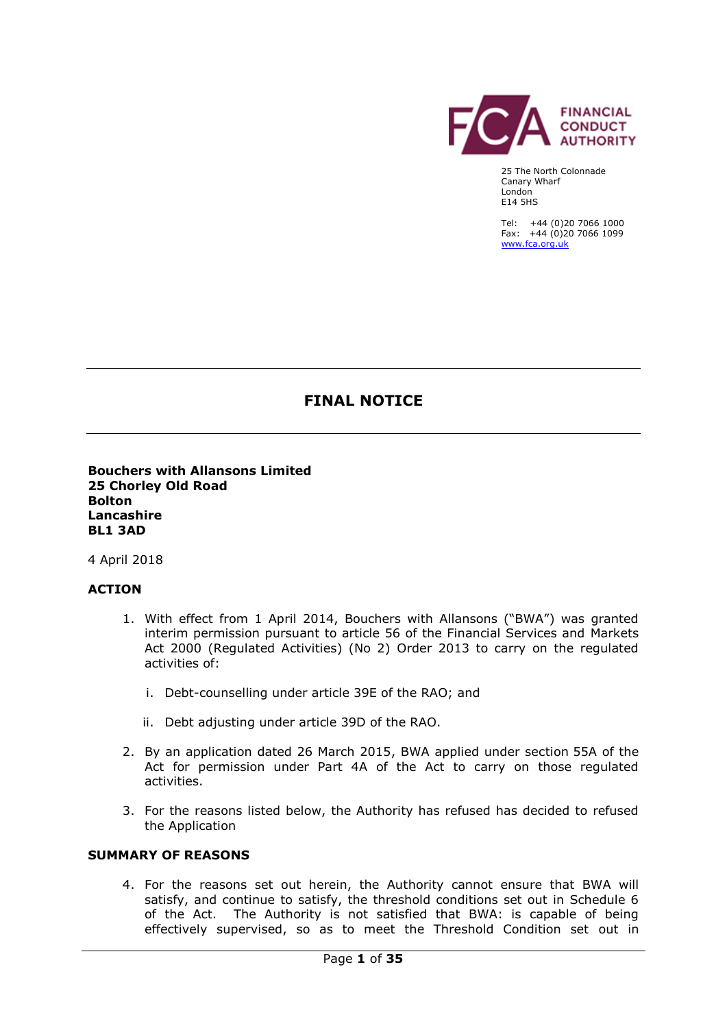

25 The North Colonnade Canary Wharf London E14 5HS

Tel: +44 (0)20 7066 1000 Fax: +44 (0)20 7066 1099 [www.fca.org.uk](http://www.fca.org.uk/)

# **FINAL NOTICE**

**Bouchers with Allansons Limited 25 Chorley Old Road Bolton Lancashire BL1 3AD**

4 April 2018

## **ACTION**

- 1. With effect from 1 April 2014, Bouchers with Allansons ("BWA") was granted interim permission pursuant to article 56 of the Financial Services and Markets Act 2000 (Regulated Activities) (No 2) Order 2013 to carry on the regulated activities of:
	- i. Debt-counselling under article 39E of the RAO; and
	- ii. Debt adjusting under article 39D of the RAO.
- 2. By an application dated 26 March 2015, BWA applied under section 55A of the Act for permission under Part 4A of the Act to carry on those regulated activities.
- 3. For the reasons listed below, the Authority has refused has decided to refused the Application

### **SUMMARY OF REASONS**

4. For the reasons set out herein, the Authority cannot ensure that BWA will satisfy, and continue to satisfy, the threshold conditions set out in Schedule 6 of the Act. The Authority is not satisfied that BWA: is capable of being effectively supervised, so as to meet the Threshold Condition set out in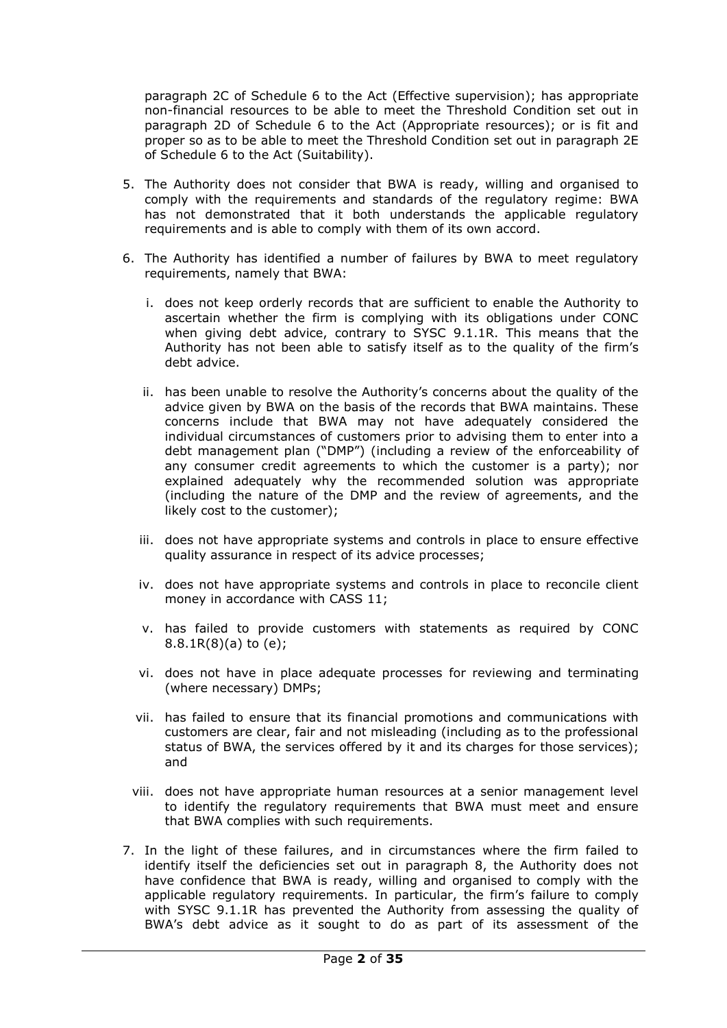paragraph 2C of Schedule 6 to the Act (Effective supervision); has appropriate non-financial resources to be able to meet the Threshold Condition set out in paragraph 2D of Schedule 6 to the Act (Appropriate resources); or is fit and proper so as to be able to meet the Threshold Condition set out in paragraph 2E of Schedule 6 to the Act (Suitability).

- 5. The Authority does not consider that BWA is ready, willing and organised to comply with the requirements and standards of the regulatory regime: BWA has not demonstrated that it both understands the applicable regulatory requirements and is able to comply with them of its own accord.
- 6. The Authority has identified a number of failures by BWA to meet regulatory requirements, namely that BWA:
	- i. does not keep orderly records that are sufficient to enable the Authority to ascertain whether the firm is complying with its obligations under CONC when giving debt advice, contrary to SYSC 9.1.1R. This means that the Authority has not been able to satisfy itself as to the quality of the firm's debt advice.
	- ii. has been unable to resolve the Authority's concerns about the quality of the advice given by BWA on the basis of the records that BWA maintains. These concerns include that BWA may not have adequately considered the individual circumstances of customers prior to advising them to enter into a debt management plan ("DMP") (including a review of the enforceability of any consumer credit agreements to which the customer is a party); nor explained adequately why the recommended solution was appropriate (including the nature of the DMP and the review of agreements, and the likely cost to the customer);
	- iii. does not have appropriate systems and controls in place to ensure effective quality assurance in respect of its advice processes;
	- iv. does not have appropriate systems and controls in place to reconcile client money in accordance with CASS 11;
	- v. has failed to provide customers with statements as required by CONC 8.8.1R(8)(a) to (e);
	- vi. does not have in place adequate processes for reviewing and terminating (where necessary) DMPs;
	- vii. has failed to ensure that its financial promotions and communications with customers are clear, fair and not misleading (including as to the professional status of BWA, the services offered by it and its charges for those services); and
	- viii. does not have appropriate human resources at a senior management level to identify the regulatory requirements that BWA must meet and ensure that BWA complies with such requirements.
- 7. In the light of these failures, and in circumstances where the firm failed to identify itself the deficiencies set out in paragraph 8, the Authority does not have confidence that BWA is ready, willing and organised to comply with the applicable regulatory requirements. In particular, the firm's failure to comply with SYSC 9.1.1R has prevented the Authority from assessing the quality of BWA's debt advice as it sought to do as part of its assessment of the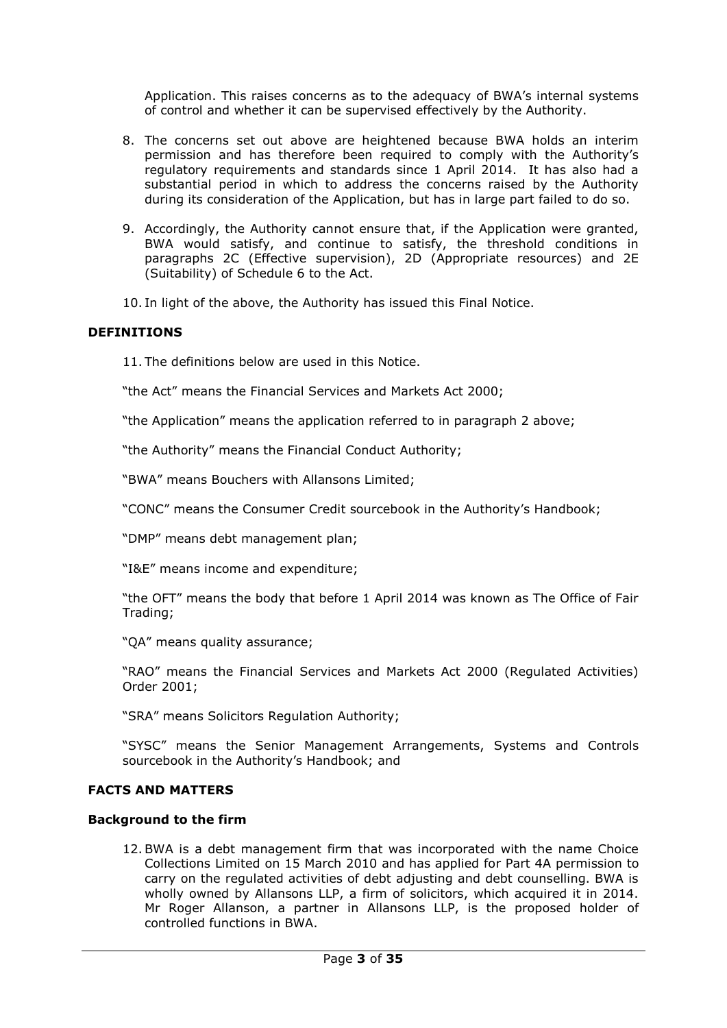Application. This raises concerns as to the adequacy of BWA's internal systems of control and whether it can be supervised effectively by the Authority.

- 8. The concerns set out above are heightened because BWA holds an interim permission and has therefore been required to comply with the Authority's regulatory requirements and standards since 1 April 2014. It has also had a substantial period in which to address the concerns raised by the Authority during its consideration of the Application, but has in large part failed to do so.
- 9. Accordingly, the Authority cannot ensure that, if the Application were granted, BWA would satisfy, and continue to satisfy, the threshold conditions in paragraphs 2C (Effective supervision), 2D (Appropriate resources) and 2E (Suitability) of Schedule 6 to the Act.
- 10. In light of the above, the Authority has issued this Final Notice.

## **DEFINITIONS**

11. The definitions below are used in this Notice.

"the Act" means the Financial Services and Markets Act 2000;

"the Application" means the application referred to in paragraph 2 above;

"the Authority" means the Financial Conduct Authority;

"BWA" means Bouchers with Allansons Limited;

"CONC" means the Consumer Credit sourcebook in the Authority's Handbook;

"DMP" means debt management plan;

"I&E" means income and expenditure;

"the OFT" means the body that before 1 April 2014 was known as The Office of Fair Trading;

"QA" means quality assurance;

"RAO" means the Financial Services and Markets Act 2000 (Regulated Activities) Order 2001;

"SRA" means Solicitors Regulation Authority;

"SYSC" means the Senior Management Arrangements, Systems and Controls sourcebook in the Authority's Handbook; and

## **FACTS AND MATTERS**

### **Background to the firm**

12.BWA is a debt management firm that was incorporated with the name Choice Collections Limited on 15 March 2010 and has applied for Part 4A permission to carry on the regulated activities of debt adjusting and debt counselling. BWA is wholly owned by Allansons LLP, a firm of solicitors, which acquired it in 2014. Mr Roger Allanson, a partner in Allansons LLP, is the proposed holder of controlled functions in BWA.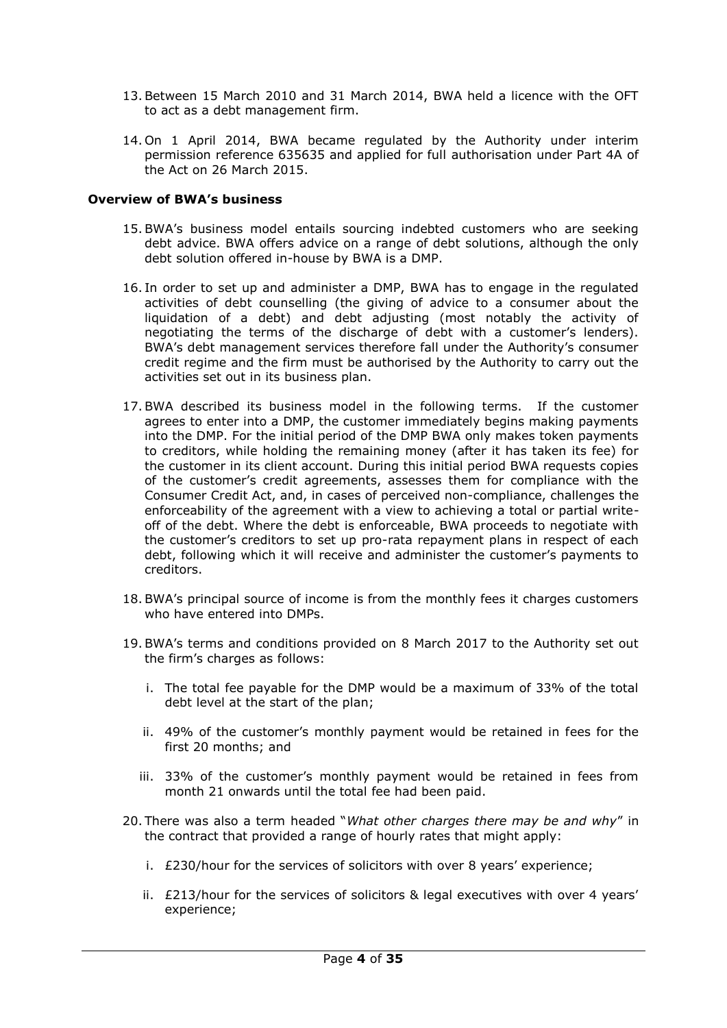- 13.Between 15 March 2010 and 31 March 2014, BWA held a licence with the OFT to act as a debt management firm.
- 14. On 1 April 2014, BWA became regulated by the Authority under interim permission reference 635635 and applied for full authorisation under Part 4A of the Act on 26 March 2015.

### **Overview of BWA's business**

- 15.BWA's business model entails sourcing indebted customers who are seeking debt advice. BWA offers advice on a range of debt solutions, although the only debt solution offered in-house by BWA is a DMP.
- 16. In order to set up and administer a DMP, BWA has to engage in the regulated activities of debt counselling (the giving of advice to a consumer about the liquidation of a debt) and debt adjusting (most notably the activity of negotiating the terms of the discharge of debt with a customer's lenders). BWA's debt management services therefore fall under the Authority's consumer credit regime and the firm must be authorised by the Authority to carry out the activities set out in its business plan.
- 17.BWA described its business model in the following terms. If the customer agrees to enter into a DMP, the customer immediately begins making payments into the DMP. For the initial period of the DMP BWA only makes token payments to creditors, while holding the remaining money (after it has taken its fee) for the customer in its client account. During this initial period BWA requests copies of the customer's credit agreements, assesses them for compliance with the Consumer Credit Act, and, in cases of perceived non-compliance, challenges the enforceability of the agreement with a view to achieving a total or partial writeoff of the debt. Where the debt is enforceable, BWA proceeds to negotiate with the customer's creditors to set up pro-rata repayment plans in respect of each debt, following which it will receive and administer the customer's payments to creditors.
- 18.BWA's principal source of income is from the monthly fees it charges customers who have entered into DMPs.
- 19.BWA's terms and conditions provided on 8 March 2017 to the Authority set out the firm's charges as follows:
	- i. The total fee payable for the DMP would be a maximum of 33% of the total debt level at the start of the plan;
	- ii. 49% of the customer's monthly payment would be retained in fees for the first 20 months; and
	- iii. 33% of the customer's monthly payment would be retained in fees from month 21 onwards until the total fee had been paid.
- 20. There was also a term headed "*What other charges there may be and why*" in the contract that provided a range of hourly rates that might apply:
	- i. £230/hour for the services of solicitors with over 8 years' experience;
	- ii. £213/hour for the services of solicitors & legal executives with over 4 years' experience;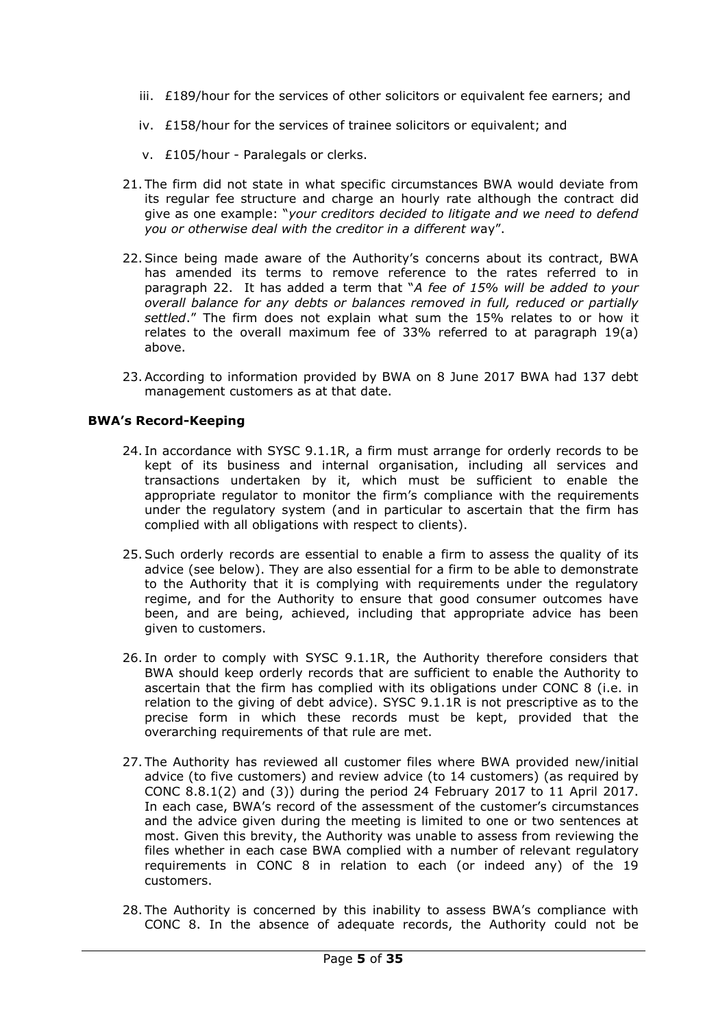- iii.  $£189/h$ our for the services of other solicitors or equivalent fee earners; and
- iv. £158/hour for the services of trainee solicitors or equivalent; and
- v. £105/hour Paralegals or clerks.
- 21. The firm did not state in what specific circumstances BWA would deviate from its regular fee structure and charge an hourly rate although the contract did give as one example: "*your creditors decided to litigate and we need to defend you or otherwise deal with the creditor in a different w*ay".
- 22.Since being made aware of the Authority's concerns about its contract, BWA has amended its terms to remove reference to the rates referred to in paragraph 22. It has added a term that "*A fee of 15% will be added to your overall balance for any debts or balances removed in full, reduced or partially settled*." The firm does not explain what sum the 15% relates to or how it relates to the overall maximum fee of 33% referred to at paragraph 19(a) above.
- 23.According to information provided by BWA on 8 June 2017 BWA had 137 debt management customers as at that date.

## **BWA's Record-Keeping**

- 24. In accordance with SYSC 9.1.1R, a firm must arrange for orderly records to be kept of its business and internal organisation, including all services and transactions undertaken by it, which must be sufficient to enable the appropriate regulator to monitor the firm's compliance with the requirements under the regulatory system (and in particular to ascertain that the firm has complied with all obligations with respect to clients).
- 25.Such orderly records are essential to enable a firm to assess the quality of its advice (see below). They are also essential for a firm to be able to demonstrate to the Authority that it is complying with requirements under the regulatory regime, and for the Authority to ensure that good consumer outcomes have been, and are being, achieved, including that appropriate advice has been given to customers.
- 26. In order to comply with SYSC 9.1.1R, the Authority therefore considers that BWA should keep orderly records that are sufficient to enable the Authority to ascertain that the firm has complied with its obligations under CONC 8 (i.e. in relation to the giving of debt advice). SYSC 9.1.1R is not prescriptive as to the precise form in which these records must be kept, provided that the overarching requirements of that rule are met.
- 27. The Authority has reviewed all customer files where BWA provided new/initial advice (to five customers) and review advice (to 14 customers) (as required by CONC 8.8.1(2) and (3)) during the period 24 February 2017 to 11 April 2017. In each case, BWA's record of the assessment of the customer's circumstances and the advice given during the meeting is limited to one or two sentences at most. Given this brevity, the Authority was unable to assess from reviewing the files whether in each case BWA complied with a number of relevant regulatory requirements in CONC 8 in relation to each (or indeed any) of the 19 customers.
- 28. The Authority is concerned by this inability to assess BWA's compliance with CONC 8. In the absence of adequate records, the Authority could not be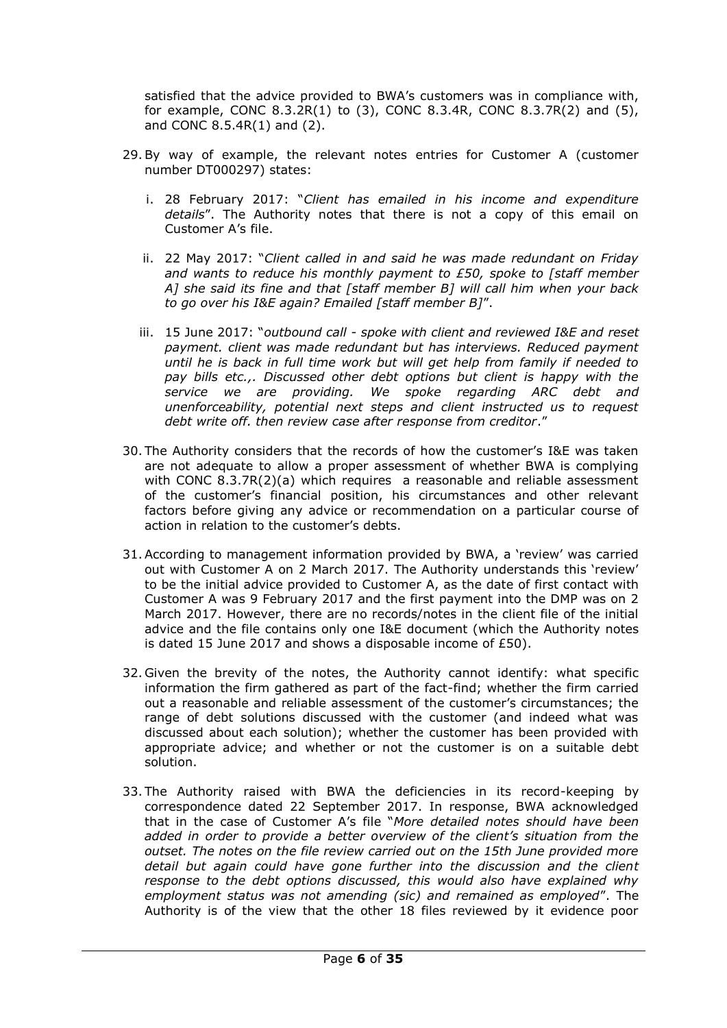satisfied that the advice provided to BWA's customers was in compliance with, for example, CONC 8.3.2R(1) to (3), CONC 8.3.4R, CONC 8.3.7R(2) and (5), and CONC 8.5.4R(1) and (2).

- 29.By way of example, the relevant notes entries for Customer A (customer number DT000297) states:
	- i. 28 February 2017: "*Client has emailed in his income and expenditure details*". The Authority notes that there is not a copy of this email on Customer A's file.
	- ii. 22 May 2017: "*Client called in and said he was made redundant on Friday and wants to reduce his monthly payment to £50, spoke to [staff member A] she said its fine and that [staff member B] will call him when your back to go over his I&E again? Emailed [staff member B]*".
	- iii. 15 June 2017: "*outbound call - spoke with client and reviewed I&E and reset payment. client was made redundant but has interviews. Reduced payment until he is back in full time work but will get help from family if needed to pay bills etc.,. Discussed other debt options but client is happy with the service we are providing. We spoke regarding ARC debt and unenforceability, potential next steps and client instructed us to request debt write off. then review case after response from creditor*."
- 30. The Authority considers that the records of how the customer's I&E was taken are not adequate to allow a proper assessment of whether BWA is complying with CONC 8.3.7R(2)(a) which requires a reasonable and reliable assessment of the customer's financial position, his circumstances and other relevant factors before giving any advice or recommendation on a particular course of action in relation to the customer's debts.
- 31.According to management information provided by BWA, a 'review' was carried out with Customer A on 2 March 2017. The Authority understands this 'review' to be the initial advice provided to Customer A, as the date of first contact with Customer A was 9 February 2017 and the first payment into the DMP was on 2 March 2017. However, there are no records/notes in the client file of the initial advice and the file contains only one I&E document (which the Authority notes is dated 15 June 2017 and shows a disposable income of £50).
- 32. Given the brevity of the notes, the Authority cannot identify: what specific information the firm gathered as part of the fact-find; whether the firm carried out a reasonable and reliable assessment of the customer's circumstances; the range of debt solutions discussed with the customer (and indeed what was discussed about each solution); whether the customer has been provided with appropriate advice; and whether or not the customer is on a suitable debt solution.
- 33. The Authority raised with BWA the deficiencies in its record-keeping by correspondence dated 22 September 2017. In response, BWA acknowledged that in the case of Customer A's file "*More detailed notes should have been added in order to provide a better overview of the client's situation from the outset. The notes on the file review carried out on the 15th June provided more detail but again could have gone further into the discussion and the client response to the debt options discussed, this would also have explained why employment status was not amending (sic) and remained as employed*". The Authority is of the view that the other 18 files reviewed by it evidence poor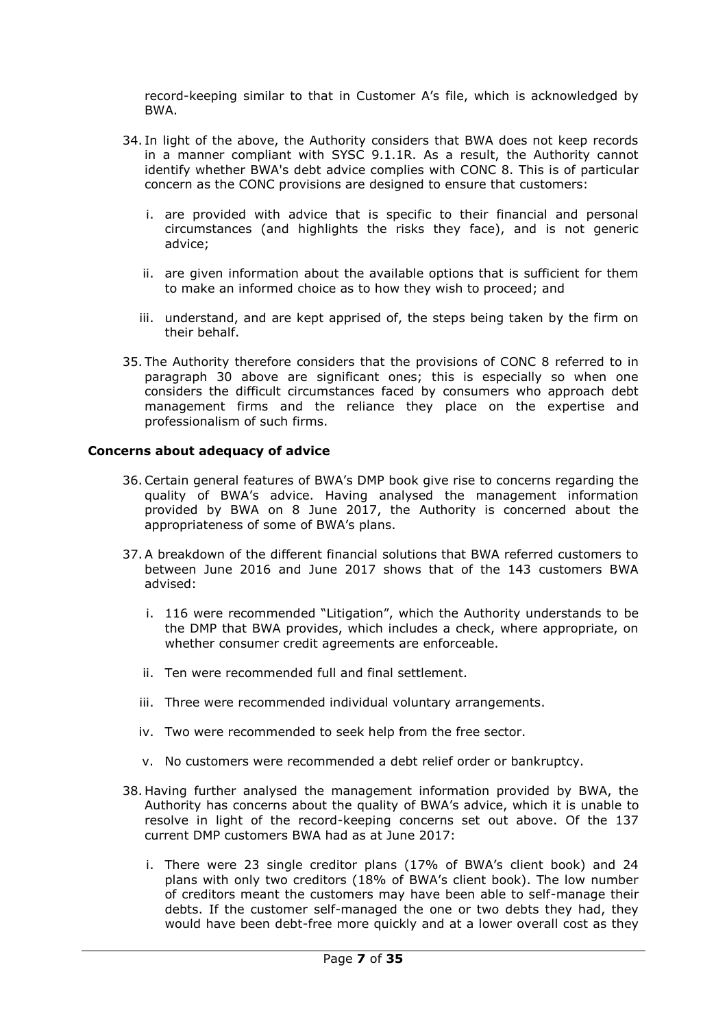record-keeping similar to that in Customer A's file, which is acknowledged by BWA.

- 34. In light of the above, the Authority considers that BWA does not keep records in a manner compliant with SYSC 9.1.1R. As a result, the Authority cannot identify whether BWA's debt advice complies with CONC 8. This is of particular concern as the CONC provisions are designed to ensure that customers:
	- i. are provided with advice that is specific to their financial and personal circumstances (and highlights the risks they face), and is not generic advice;
	- ii. are given information about the available options that is sufficient for them to make an informed choice as to how they wish to proceed; and
	- iii. understand, and are kept apprised of, the steps being taken by the firm on their behalf.
- 35. The Authority therefore considers that the provisions of CONC 8 referred to in paragraph 30 above are significant ones; this is especially so when one considers the difficult circumstances faced by consumers who approach debt management firms and the reliance they place on the expertise and professionalism of such firms.

### **Concerns about adequacy of advice**

- 36.Certain general features of BWA's DMP book give rise to concerns regarding the quality of BWA's advice. Having analysed the management information provided by BWA on 8 June 2017, the Authority is concerned about the appropriateness of some of BWA's plans.
- 37.A breakdown of the different financial solutions that BWA referred customers to between June 2016 and June 2017 shows that of the 143 customers BWA advised:
	- i. 116 were recommended "Litigation", which the Authority understands to be the DMP that BWA provides, which includes a check, where appropriate, on whether consumer credit agreements are enforceable.
	- ii. Ten were recommended full and final settlement.
	- iii. Three were recommended individual voluntary arrangements.
	- iv. Two were recommended to seek help from the free sector.
	- v. No customers were recommended a debt relief order or bankruptcy.
- 38. Having further analysed the management information provided by BWA, the Authority has concerns about the quality of BWA's advice, which it is unable to resolve in light of the record-keeping concerns set out above. Of the 137 current DMP customers BWA had as at June 2017:
	- i. There were 23 single creditor plans (17% of BWA's client book) and 24 plans with only two creditors (18% of BWA's client book). The low number of creditors meant the customers may have been able to self-manage their debts. If the customer self-managed the one or two debts they had, they would have been debt-free more quickly and at a lower overall cost as they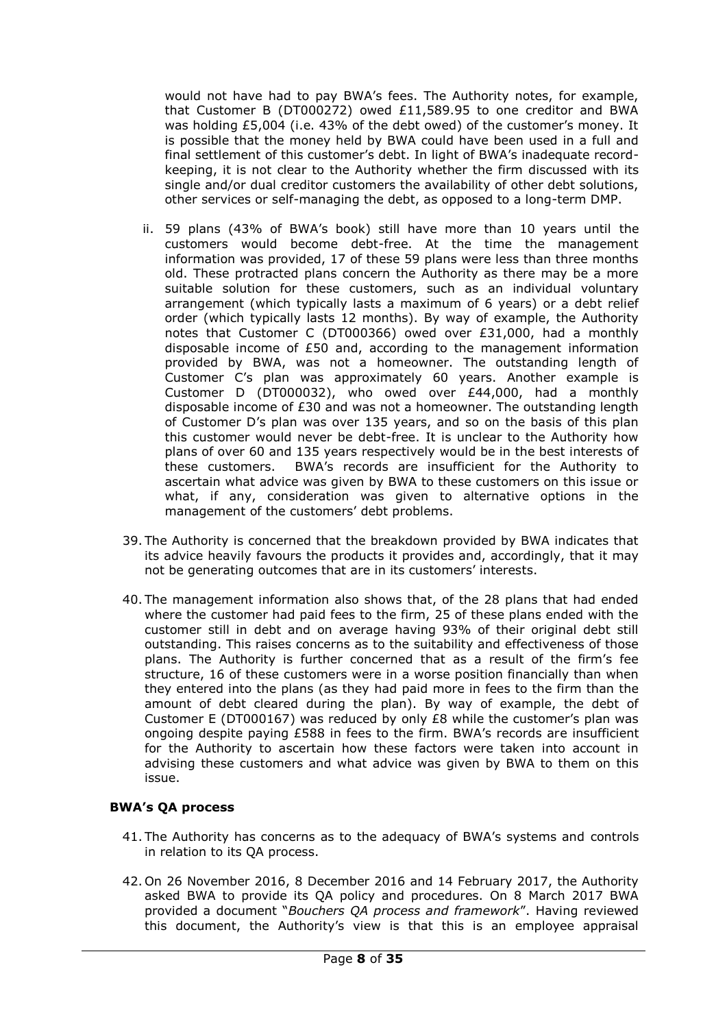would not have had to pay BWA's fees. The Authority notes, for example, that Customer B (DT000272) owed  $£11,589.95$  to one creditor and BWA was holding £5,004 (i.e. 43% of the debt owed) of the customer's money. It is possible that the money held by BWA could have been used in a full and final settlement of this customer's debt. In light of BWA's inadequate recordkeeping, it is not clear to the Authority whether the firm discussed with its single and/or dual creditor customers the availability of other debt solutions, other services or self-managing the debt, as opposed to a long-term DMP.

- ii. 59 plans (43% of BWA's book) still have more than 10 years until the customers would become debt-free. At the time the management information was provided, 17 of these 59 plans were less than three months old. These protracted plans concern the Authority as there may be a more suitable solution for these customers, such as an individual voluntary arrangement (which typically lasts a maximum of 6 years) or a debt relief order (which typically lasts 12 months). By way of example, the Authority notes that Customer C (DT000366) owed over £31,000, had a monthly disposable income of £50 and, according to the management information provided by BWA, was not a homeowner. The outstanding length of Customer C's plan was approximately 60 years. Another example is Customer D (DT000032), who owed over £44,000, had a monthly disposable income of  $E30$  and was not a homeowner. The outstanding length of Customer D's plan was over 135 years, and so on the basis of this plan this customer would never be debt-free. It is unclear to the Authority how plans of over 60 and 135 years respectively would be in the best interests of these customers. BWA's records are insufficient for the Authority to ascertain what advice was given by BWA to these customers on this issue or what, if any, consideration was given to alternative options in the management of the customers' debt problems.
- 39. The Authority is concerned that the breakdown provided by BWA indicates that its advice heavily favours the products it provides and, accordingly, that it may not be generating outcomes that are in its customers' interests.
- 40. The management information also shows that, of the 28 plans that had ended where the customer had paid fees to the firm, 25 of these plans ended with the customer still in debt and on average having 93% of their original debt still outstanding. This raises concerns as to the suitability and effectiveness of those plans. The Authority is further concerned that as a result of the firm's fee structure, 16 of these customers were in a worse position financially than when they entered into the plans (as they had paid more in fees to the firm than the amount of debt cleared during the plan). By way of example, the debt of Customer E (DT000167) was reduced by only  $£8$  while the customer's plan was ongoing despite paying £588 in fees to the firm. BWA's records are insufficient for the Authority to ascertain how these factors were taken into account in advising these customers and what advice was given by BWA to them on this issue.

## **BWA's QA process**

- 41. The Authority has concerns as to the adequacy of BWA's systems and controls in relation to its QA process.
- 42. On 26 November 2016, 8 December 2016 and 14 February 2017, the Authority asked BWA to provide its QA policy and procedures. On 8 March 2017 BWA provided a document "*Bouchers QA process and framework*". Having reviewed this document, the Authority's view is that this is an employee appraisal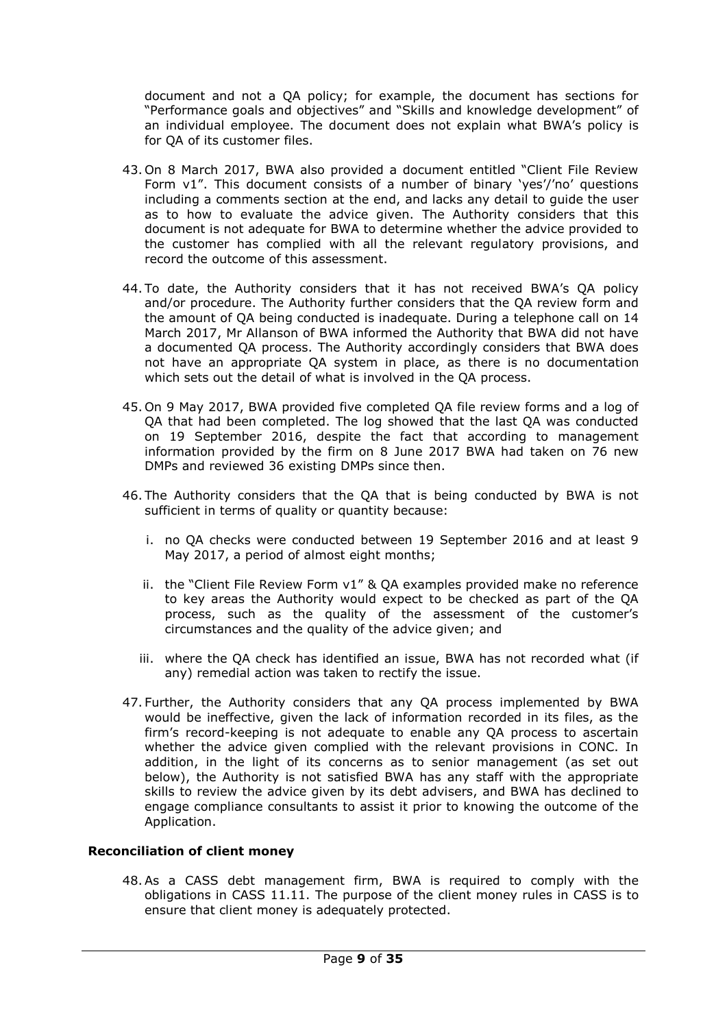document and not a QA policy; for example, the document has sections for "Performance goals and objectives" and "Skills and knowledge development" of an individual employee. The document does not explain what BWA's policy is for QA of its customer files.

- 43. On 8 March 2017, BWA also provided a document entitled "Client File Review Form v1". This document consists of a number of binary 'yes'/'no' questions including a comments section at the end, and lacks any detail to guide the user as to how to evaluate the advice given. The Authority considers that this document is not adequate for BWA to determine whether the advice provided to the customer has complied with all the relevant regulatory provisions, and record the outcome of this assessment.
- 44. To date, the Authority considers that it has not received BWA's QA policy and/or procedure. The Authority further considers that the QA review form and the amount of QA being conducted is inadequate. During a telephone call on 14 March 2017, Mr Allanson of BWA informed the Authority that BWA did not have a documented QA process. The Authority accordingly considers that BWA does not have an appropriate QA system in place, as there is no documentation which sets out the detail of what is involved in the QA process.
- 45. On 9 May 2017, BWA provided five completed QA file review forms and a log of QA that had been completed. The log showed that the last QA was conducted on 19 September 2016, despite the fact that according to management information provided by the firm on 8 June 2017 BWA had taken on 76 new DMPs and reviewed 36 existing DMPs since then.
- 46. The Authority considers that the QA that is being conducted by BWA is not sufficient in terms of quality or quantity because:
	- i. no QA checks were conducted between 19 September 2016 and at least 9 May 2017, a period of almost eight months;
	- ii. the "Client File Review Form v1" & QA examples provided make no reference to key areas the Authority would expect to be checked as part of the QA process, such as the quality of the assessment of the customer's circumstances and the quality of the advice given; and
	- iii. where the QA check has identified an issue, BWA has not recorded what (if any) remedial action was taken to rectify the issue.
- 47. Further, the Authority considers that any QA process implemented by BWA would be ineffective, given the lack of information recorded in its files, as the firm's record-keeping is not adequate to enable any QA process to ascertain whether the advice given complied with the relevant provisions in CONC. In addition, in the light of its concerns as to senior management (as set out below), the Authority is not satisfied BWA has any staff with the appropriate skills to review the advice given by its debt advisers, and BWA has declined to engage compliance consultants to assist it prior to knowing the outcome of the Application.

## **Reconciliation of client money**

48.As a CASS debt management firm, BWA is required to comply with the obligations in CASS 11.11. The purpose of the client money rules in CASS is to ensure that client money is adequately protected.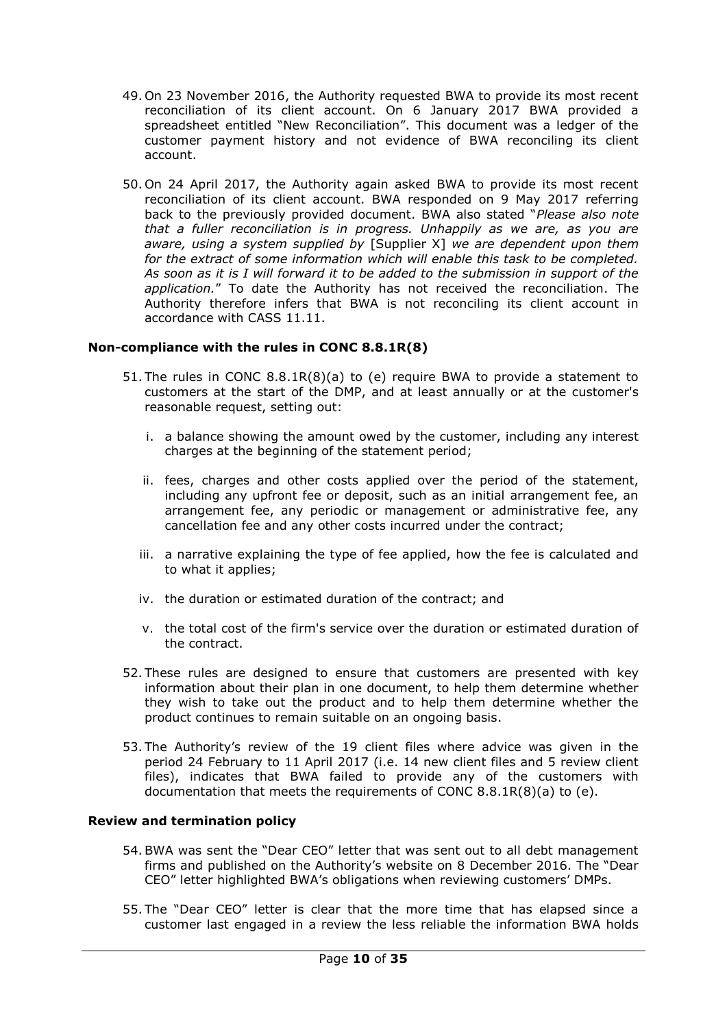- 49. On 23 November 2016, the Authority requested BWA to provide its most recent reconciliation of its client account. On 6 January 2017 BWA provided a spreadsheet entitled "New Reconciliation". This document was a ledger of the customer payment history and not evidence of BWA reconciling its client account.
- 50. On 24 April 2017, the Authority again asked BWA to provide its most recent reconciliation of its client account. BWA responded on 9 May 2017 referring back to the previously provided document. BWA also stated "*Please also note that a fuller reconciliation is in progress. Unhappily as we are, as you are aware, using a system supplied by* [Supplier X] *we are dependent upon them for the extract of some information which will enable this task to be completed. As soon as it is I will forward it to be added to the submission in support of the application.*" To date the Authority has not received the reconciliation. The Authority therefore infers that BWA is not reconciling its client account in accordance with CASS 11.11.

## **Non-compliance with the rules in CONC 8.8.1R(8)**

- 51. The rules in CONC 8.8.1R(8)(a) to (e) require BWA to provide a statement to customers at the start of the DMP, and at least annually or at the customer's reasonable request, setting out:
	- i. a balance showing the amount owed by the customer, including any interest charges at the beginning of the statement period;
	- ii. fees, charges and other costs applied over the period of the statement, including any upfront fee or deposit, such as an initial arrangement fee, an arrangement fee, any periodic or management or administrative fee, any cancellation fee and any other costs incurred under the contract;
	- iii. a narrative explaining the type of fee applied, how the fee is calculated and to what it applies;
	- iv. the duration or estimated duration of the contract; and
	- v. the total cost of the firm's service over the duration or estimated duration of the contract.
- 52. These rules are designed to ensure that customers are presented with key information about their plan in one document, to help them determine whether they wish to take out the product and to help them determine whether the product continues to remain suitable on an ongoing basis.
- 53. The Authority's review of the 19 client files where advice was given in the period 24 February to 11 April 2017 (i.e. 14 new client files and 5 review client files), indicates that BWA failed to provide any of the customers with documentation that meets the requirements of CONC 8.8.1R(8)(a) to (e).

## **Review and termination policy**

- 54.BWA was sent the "Dear CEO" letter that was sent out to all debt management firms and published on the Authority's website on 8 December 2016. The "Dear CEO" letter highlighted BWA's obligations when reviewing customers' DMPs.
- 55. The "Dear CEO" letter is clear that the more time that has elapsed since a customer last engaged in a review the less reliable the information BWA holds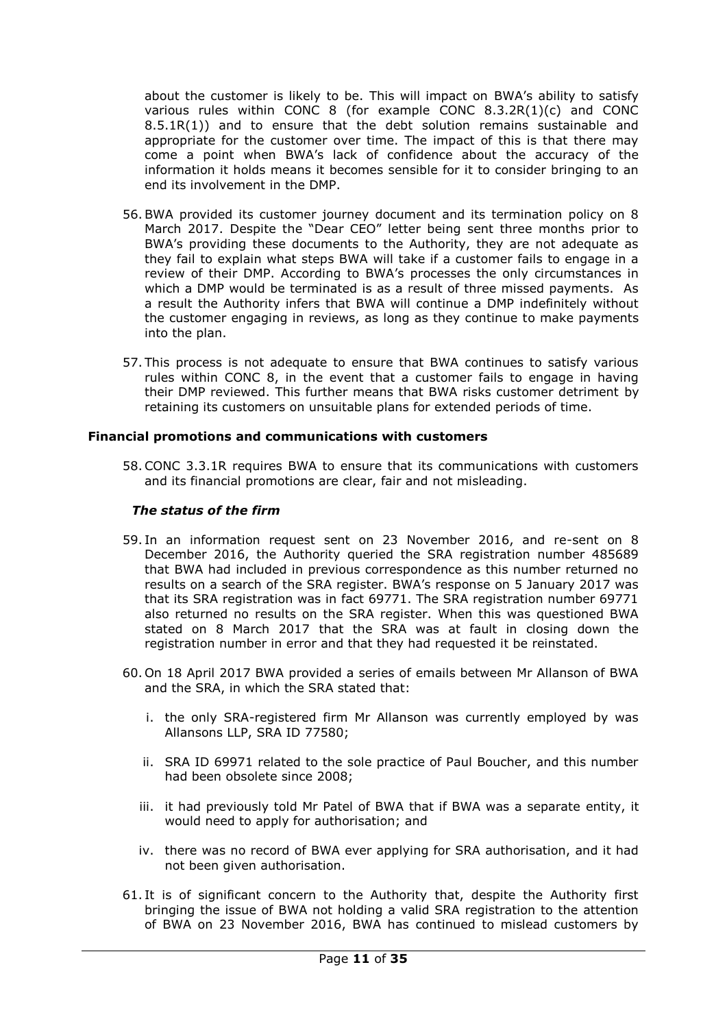about the customer is likely to be. This will impact on BWA's ability to satisfy various rules within CONC 8 (for example CONC 8.3.2R(1)(c) and CONC 8.5.1R(1)) and to ensure that the debt solution remains sustainable and appropriate for the customer over time. The impact of this is that there may come a point when BWA's lack of confidence about the accuracy of the information it holds means it becomes sensible for it to consider bringing to an end its involvement in the DMP.

- 56.BWA provided its customer journey document and its termination policy on 8 March 2017. Despite the "Dear CEO" letter being sent three months prior to BWA's providing these documents to the Authority, they are not adequate as they fail to explain what steps BWA will take if a customer fails to engage in a review of their DMP. According to BWA's processes the only circumstances in which a DMP would be terminated is as a result of three missed payments. As a result the Authority infers that BWA will continue a DMP indefinitely without the customer engaging in reviews, as long as they continue to make payments into the plan.
- 57. This process is not adequate to ensure that BWA continues to satisfy various rules within CONC 8, in the event that a customer fails to engage in having their DMP reviewed. This further means that BWA risks customer detriment by retaining its customers on unsuitable plans for extended periods of time.

### **Financial promotions and communications with customers**

58.CONC 3.3.1R requires BWA to ensure that its communications with customers and its financial promotions are clear, fair and not misleading.

### *The status of the firm*

- 59. In an information request sent on 23 November 2016, and re-sent on 8 December 2016, the Authority queried the SRA registration number 485689 that BWA had included in previous correspondence as this number returned no results on a search of the SRA register. BWA's response on 5 January 2017 was that its SRA registration was in fact 69771. The SRA registration number 69771 also returned no results on the SRA register. When this was questioned BWA stated on 8 March 2017 that the SRA was at fault in closing down the registration number in error and that they had requested it be reinstated.
- 60. On 18 April 2017 BWA provided a series of emails between Mr Allanson of BWA and the SRA, in which the SRA stated that:
	- i. the only SRA-registered firm Mr Allanson was currently employed by was Allansons LLP, SRA ID 77580;
	- ii. SRA ID 69971 related to the sole practice of Paul Boucher, and this number had been obsolete since 2008;
	- iii. it had previously told Mr Patel of BWA that if BWA was a separate entity, it would need to apply for authorisation; and
	- iv. there was no record of BWA ever applying for SRA authorisation, and it had not been given authorisation.
- 61. It is of significant concern to the Authority that, despite the Authority first bringing the issue of BWA not holding a valid SRA registration to the attention of BWA on 23 November 2016, BWA has continued to mislead customers by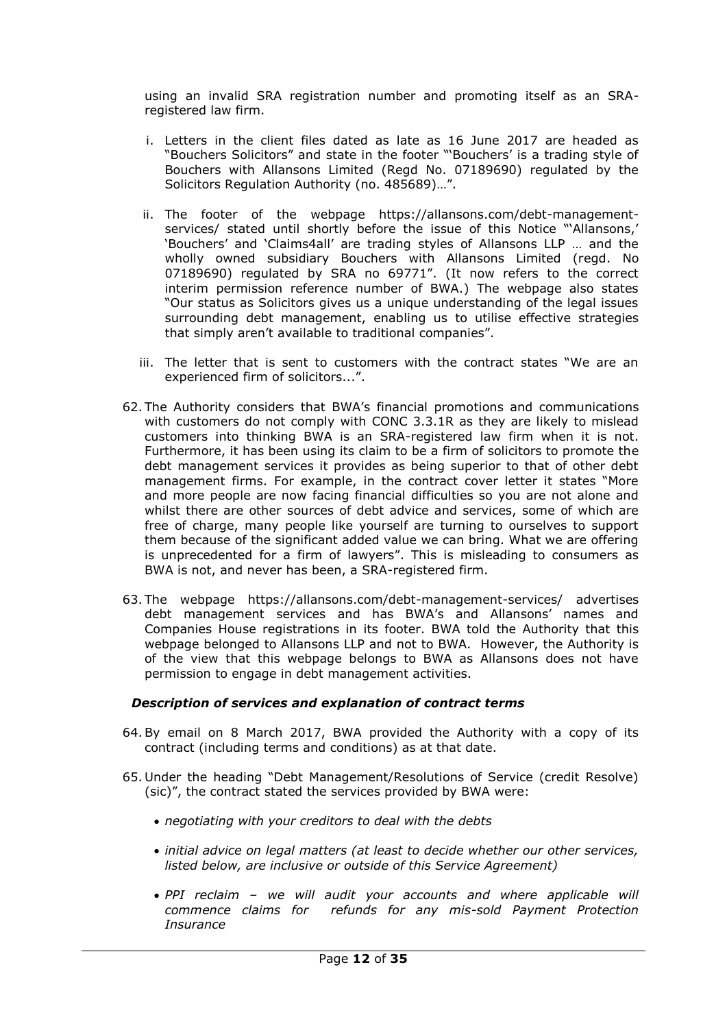using an invalid SRA registration number and promoting itself as an SRAregistered law firm.

- i. Letters in the client files dated as late as 16 June 2017 are headed as "Bouchers Solicitors" and state in the footer "'Bouchers' is a trading style of Bouchers with Allansons Limited (Regd No. 07189690) regulated by the Solicitors Regulation Authority (no. 485689)…".
- ii. The footer of the webpage https://allansons.com/debt-managementservices/ stated until shortly before the issue of this Notice "'Allansons,' 'Bouchers' and 'Claims4all' are trading styles of Allansons LLP … and the wholly owned subsidiary Bouchers with Allansons Limited (regd. No 07189690) regulated by SRA no 69771". (It now refers to the correct interim permission reference number of BWA.) The webpage also states "Our status as Solicitors gives us a unique understanding of the legal issues surrounding debt management, enabling us to utilise effective strategies that simply aren't available to traditional companies".
- iii. The letter that is sent to customers with the contract states "We are an experienced firm of solicitors...".
- 62. The Authority considers that BWA's financial promotions and communications with customers do not comply with CONC 3.3.1R as they are likely to mislead customers into thinking BWA is an SRA-registered law firm when it is not. Furthermore, it has been using its claim to be a firm of solicitors to promote the debt management services it provides as being superior to that of other debt management firms. For example, in the contract cover letter it states "More and more people are now facing financial difficulties so you are not alone and whilst there are other sources of debt advice and services, some of which are free of charge, many people like yourself are turning to ourselves to support them because of the significant added value we can bring. What we are offering is unprecedented for a firm of lawyers". This is misleading to consumers as BWA is not, and never has been, a SRA-registered firm.
- 63. The webpage https://allansons.com/debt-management-services/ advertises debt management services and has BWA's and Allansons' names and Companies House registrations in its footer. BWA told the Authority that this webpage belonged to Allansons LLP and not to BWA. However, the Authority is of the view that this webpage belongs to BWA as Allansons does not have permission to engage in debt management activities.

## *Description of services and explanation of contract terms*

- 64.By email on 8 March 2017, BWA provided the Authority with a copy of its contract (including terms and conditions) as at that date.
- 65. Under the heading "Debt Management/Resolutions of Service (credit Resolve) (sic)", the contract stated the services provided by BWA were:
	- *negotiating with your creditors to deal with the debts*
	- *initial advice on legal matters (at least to decide whether our other services, listed below, are inclusive or outside of this Service Agreement)*
	- *PPI reclaim – we will audit your accounts and where applicable will commence claims for refunds for any mis-sold Payment Protection Insurance*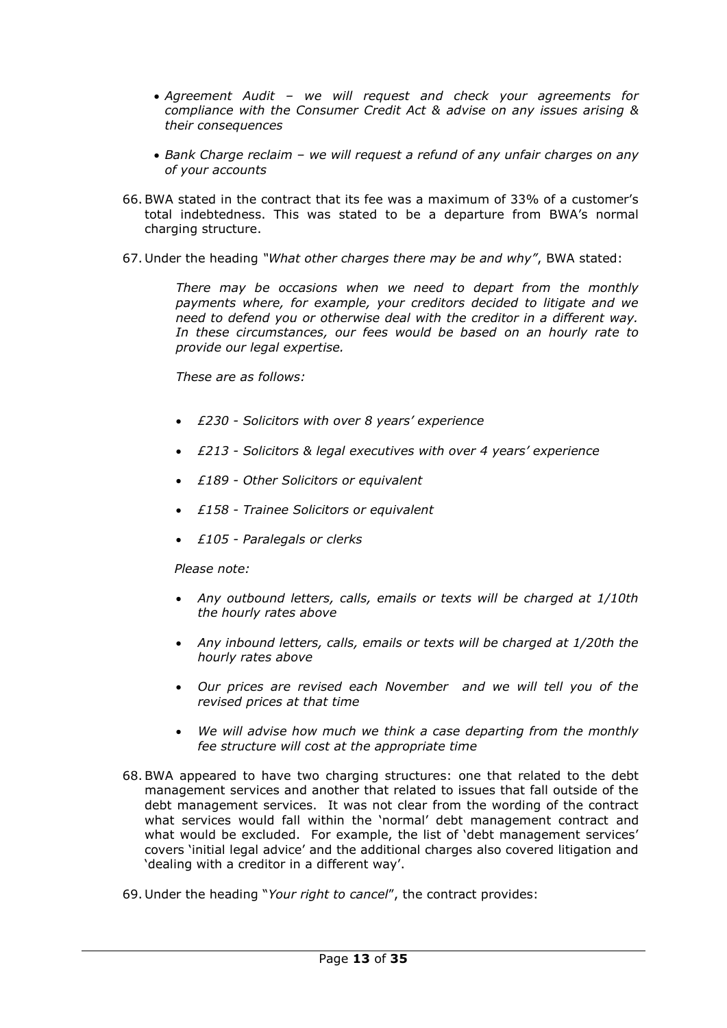- *Agreement Audit – we will request and check your agreements for compliance with the Consumer Credit Act & advise on any issues arising & their consequences*
- *Bank Charge reclaim – we will request a refund of any unfair charges on any of your accounts*
- 66.BWA stated in the contract that its fee was a maximum of 33% of a customer's total indebtedness. This was stated to be a departure from BWA's normal charging structure.
- 67. Under the heading *"What other charges there may be and why"*, BWA stated:

*There may be occasions when we need to depart from the monthly payments where, for example, your creditors decided to litigate and we need to defend you or otherwise deal with the creditor in a different way. In these circumstances, our fees would be based on an hourly rate to provide our legal expertise.* 

*These are as follows:*

- *£230 - Solicitors with over 8 years' experience*
- *£213 - Solicitors & legal executives with over 4 years' experience*
- *£189 - Other Solicitors or equivalent*
- *£158 - Trainee Solicitors or equivalent*
- *£105 - Paralegals or clerks*

*Please note:*

- *Any outbound letters, calls, emails or texts will be charged at 1/10th the hourly rates above*
- *Any inbound letters, calls, emails or texts will be charged at 1/20th the hourly rates above*
- *Our prices are revised each November and we will tell you of the revised prices at that time*
- *We will advise how much we think a case departing from the monthly fee structure will cost at the appropriate time*
- 68.BWA appeared to have two charging structures: one that related to the debt management services and another that related to issues that fall outside of the debt management services. It was not clear from the wording of the contract what services would fall within the 'normal' debt management contract and what would be excluded. For example, the list of 'debt management services' covers 'initial legal advice' and the additional charges also covered litigation and 'dealing with a creditor in a different way'.
- 69. Under the heading "*Your right to cancel*", the contract provides: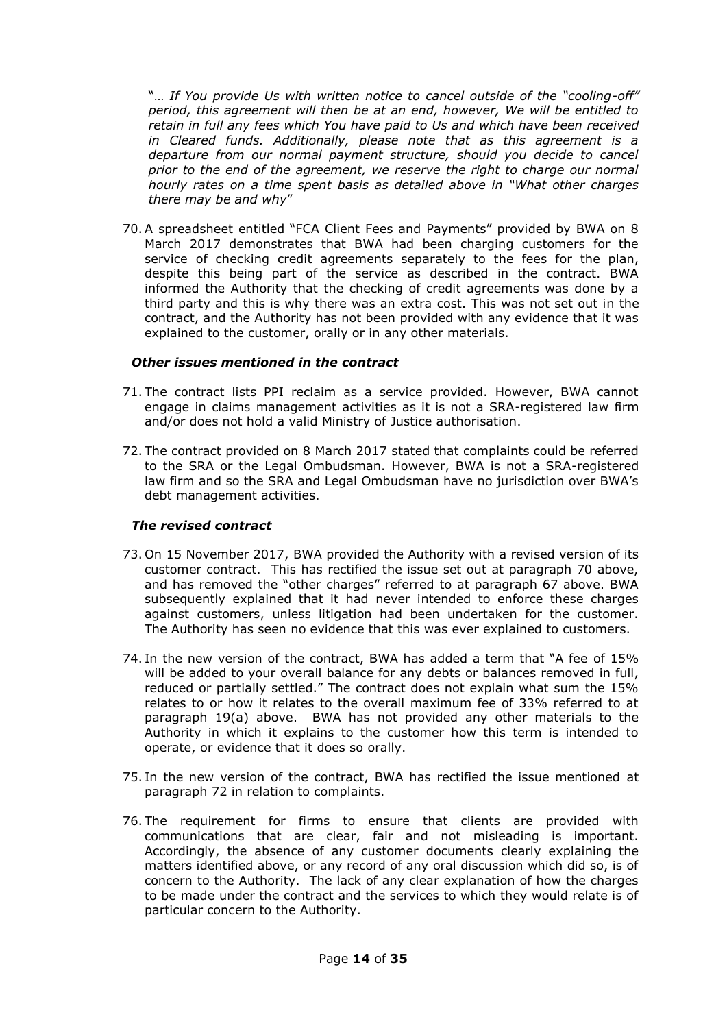"… *If You provide Us with written notice to cancel outside of the "cooling-off" period, this agreement will then be at an end, however, We will be entitled to retain in full any fees which You have paid to Us and which have been received in Cleared funds. Additionally, please note that as this agreement is a departure from our normal payment structure, should you decide to cancel prior to the end of the agreement, we reserve the right to charge our normal hourly rates on a time spent basis as detailed above in "What other charges there may be and why*"

70.A spreadsheet entitled "FCA Client Fees and Payments" provided by BWA on 8 March 2017 demonstrates that BWA had been charging customers for the service of checking credit agreements separately to the fees for the plan, despite this being part of the service as described in the contract. BWA informed the Authority that the checking of credit agreements was done by a third party and this is why there was an extra cost. This was not set out in the contract, and the Authority has not been provided with any evidence that it was explained to the customer, orally or in any other materials.

## *Other issues mentioned in the contract*

- 71. The contract lists PPI reclaim as a service provided. However, BWA cannot engage in claims management activities as it is not a SRA-registered law firm and/or does not hold a valid Ministry of Justice authorisation.
- 72. The contract provided on 8 March 2017 stated that complaints could be referred to the SRA or the Legal Ombudsman. However, BWA is not a SRA-registered law firm and so the SRA and Legal Ombudsman have no jurisdiction over BWA's debt management activities.

## *The revised contract*

- 73. On 15 November 2017, BWA provided the Authority with a revised version of its customer contract. This has rectified the issue set out at paragraph 70 above, and has removed the "other charges" referred to at paragraph 67 above. BWA subsequently explained that it had never intended to enforce these charges against customers, unless litigation had been undertaken for the customer. The Authority has seen no evidence that this was ever explained to customers.
- 74. In the new version of the contract, BWA has added a term that "A fee of 15% will be added to your overall balance for any debts or balances removed in full, reduced or partially settled." The contract does not explain what sum the 15% relates to or how it relates to the overall maximum fee of 33% referred to at paragraph 19(a) above. BWA has not provided any other materials to the Authority in which it explains to the customer how this term is intended to operate, or evidence that it does so orally.
- 75. In the new version of the contract, BWA has rectified the issue mentioned at paragraph 72 in relation to complaints.
- 76. The requirement for firms to ensure that clients are provided with communications that are clear, fair and not misleading is important. Accordingly, the absence of any customer documents clearly explaining the matters identified above, or any record of any oral discussion which did so, is of concern to the Authority. The lack of any clear explanation of how the charges to be made under the contract and the services to which they would relate is of particular concern to the Authority.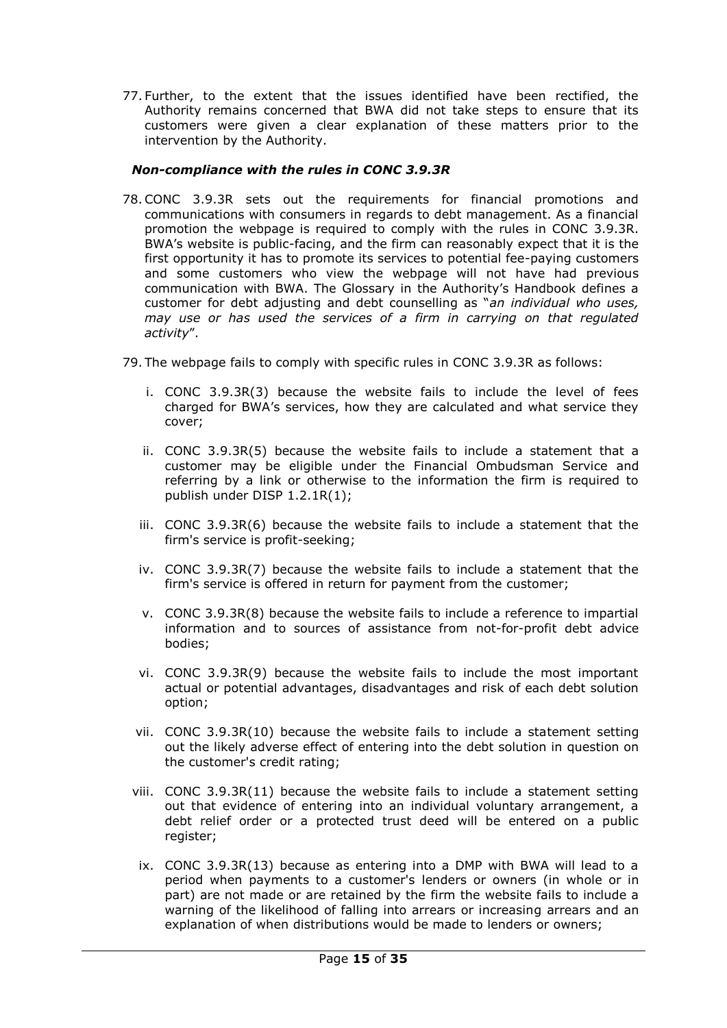77. Further, to the extent that the issues identified have been rectified, the Authority remains concerned that BWA did not take steps to ensure that its customers were given a clear explanation of these matters prior to the intervention by the Authority.

## *Non-compliance with the rules in CONC 3.9.3R*

- 78.CONC 3.9.3R sets out the requirements for financial promotions and communications with consumers in regards to debt management. As a financial promotion the webpage is required to comply with the rules in CONC 3.9.3R. BWA's website is public-facing, and the firm can reasonably expect that it is the first opportunity it has to promote its services to potential fee-paying customers and some customers who view the webpage will not have had previous communication with BWA. The Glossary in the Authority's Handbook defines a customer for debt adjusting and debt counselling as "*an individual who uses, may use or has used the services of a firm in carrying on that regulated activity*".
- 79. The webpage fails to comply with specific rules in CONC 3.9.3R as follows:
	- i. CONC 3.9.3R(3) because the website fails to include the level of fees charged for BWA's services, how they are calculated and what service they cover;
	- ii. CONC 3.9.3R(5) because the website fails to include a statement that a customer may be eligible under the [Financial Ombudsman Service](https://www.handbook.fca.org.uk/handbook/glossary/G419.html) and referring by a link or otherwise to the information the firm is required to publish under [DISP 1.2.1R\(1\);](https://www.handbook.fca.org.uk/handbook/DISP/1/2.html#DES179)
	- iii. CONC 3.9.3R(6) because the website fails to include a statement that the [firm's](https://www.handbook.fca.org.uk/handbook/glossary/G430.html) service is profit-seeking;
	- iv. CONC 3.9.3R(7) because the website fails to include a statement that the [firm's](https://www.handbook.fca.org.uk/handbook/glossary/G430.html) service is offered in return for payment from the [customer;](https://www.handbook.fca.org.uk/handbook/glossary/G252.html)
	- v. CONC 3.9.3R(8) because the website fails to include a reference to impartial information and to sources of assistance from [not-for-profit debt advice](https://www.handbook.fca.org.uk/handbook/glossary/G3214.html)  [bodies;](https://www.handbook.fca.org.uk/handbook/glossary/G3214.html)
	- vi. CONC 3.9.3R(9) because the website fails to include the most important actual or potential advantages, disadvantages and risk of each debt solution option;
	- vii. CONC 3.9.3R(10) because the website fails to include a statement setting out the likely adverse effect of entering into the [debt solution](https://www.handbook.fca.org.uk/handbook/glossary/G3207.html) in question on the [customer's](https://www.handbook.fca.org.uk/handbook/glossary/G252.html) credit rating;
	- viii. CONC 3.9.3R(11) because the website fails to include a statement setting out that evidence of entering into an individual voluntary arrangement, a debt relief order or a protected trust deed will be entered on a public register;
	- ix. CONC 3.9.3R(13) because as entering into a DMP with BWA will lead to a period when payments to a customer's [lenders](https://www.handbook.fca.org.uk/handbook/glossary/G3177.html) or [owners](https://www.handbook.fca.org.uk/handbook/glossary/G2569.html) (in whole or in part) are not made or are retained by the [firm](https://www.handbook.fca.org.uk/handbook/glossary/G430.html) the website fails to include a warning of the likelihood of falling into arrears or increasing arrears and an explanation of when distributions would be made to lenders or owners;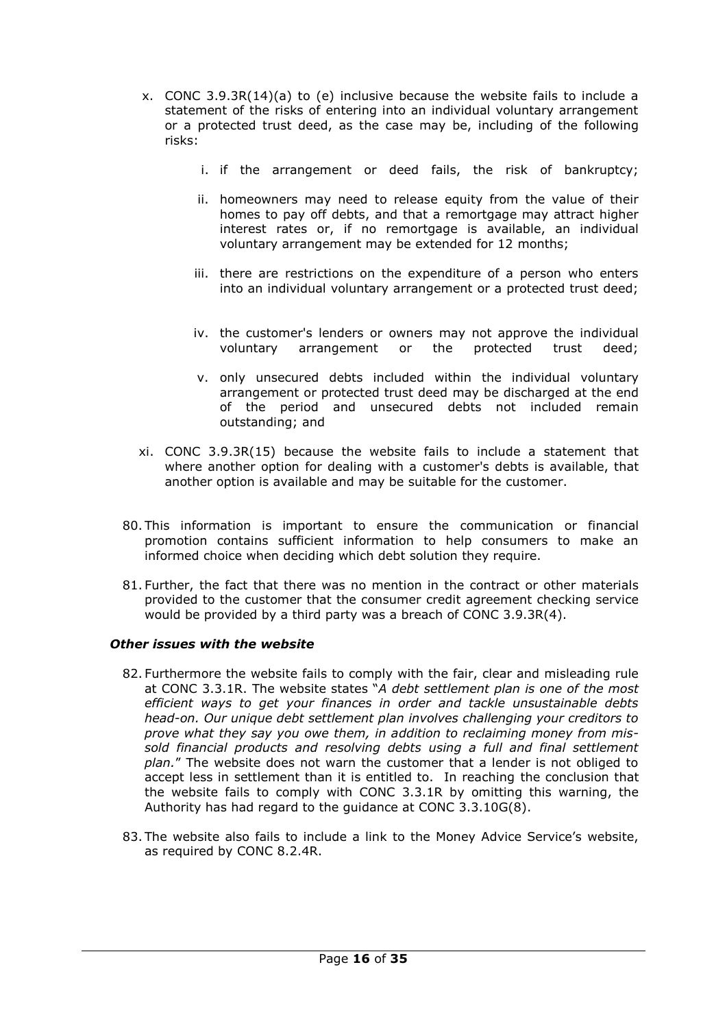- x. CONC 3.9.3R(14)(a) to (e) inclusive because the website fails to include a statement of the risks of entering into an individual voluntary arrangement or a protected trust deed, as the case may be, including of the following risks:
	- i. if the arrangement or deed fails, the risk of bankruptcy;
	- ii. homeowners may need to release equity from the value of their homes to pay off debts, and that a remortgage may attract higher interest rates or, if no remortgage is available, an individual voluntary arrangement may be extended for 12 [months;](https://www.handbook.fca.org.uk/handbook/glossary/G737.html)
	- iii. there are restrictions on the expenditure of a person who enters into an individual voluntary arrangement or a protected trust deed;
	- iv. the [customer's](https://www.handbook.fca.org.uk/handbook/glossary/G252.html) [lenders](https://www.handbook.fca.org.uk/handbook/glossary/G3177.html) or [owners](https://www.handbook.fca.org.uk/handbook/glossary/G2569.html) may not approve the individual voluntary arrangement or the protected trust deed;
	- v. only unsecured debts included within the individual voluntary arrangement or protected trust deed may be discharged at the end of the period and unsecured debts not included remain outstanding; and
- xi. CONC 3.9.3R(15) because the website fails to include a statement that where another option for dealing with a [customer's](https://www.handbook.fca.org.uk/handbook/glossary/G252.html) debts is available, that another option is available and may be suitable for the [customer.](https://www.handbook.fca.org.uk/handbook/glossary/G252.html)
- 80. This information is important to ensure the communication or financial promotion contains sufficient information to help consumers to make an informed choice when deciding which debt solution they require.
- 81. Further, the fact that there was no mention in the contract or other materials provided to the customer that the consumer credit agreement checking service would be provided by a third party was a breach of CONC 3.9.3R(4).

## *Other issues with the website*

- 82. Furthermore the website fails to comply with the fair, clear and misleading rule at CONC 3.3.1R. The website states "*A debt settlement plan is one of the most efficient ways to get your finances in order and tackle unsustainable debts head-on. Our unique debt settlement plan involves challenging your creditors to prove what they say you owe them, in addition to reclaiming money from missold financial products and resolving debts using a full and final settlement plan.*" The website does not warn the customer that a lender is not obliged to accept less in settlement than it is entitled to. In reaching the conclusion that the website fails to comply with CONC 3.3.1R by omitting this warning, the Authority has had regard to the guidance at CONC 3.3.10G(8).
- 83. The website also fails to include a link to the Money Advice Service's website, as required by CONC 8.2.4R.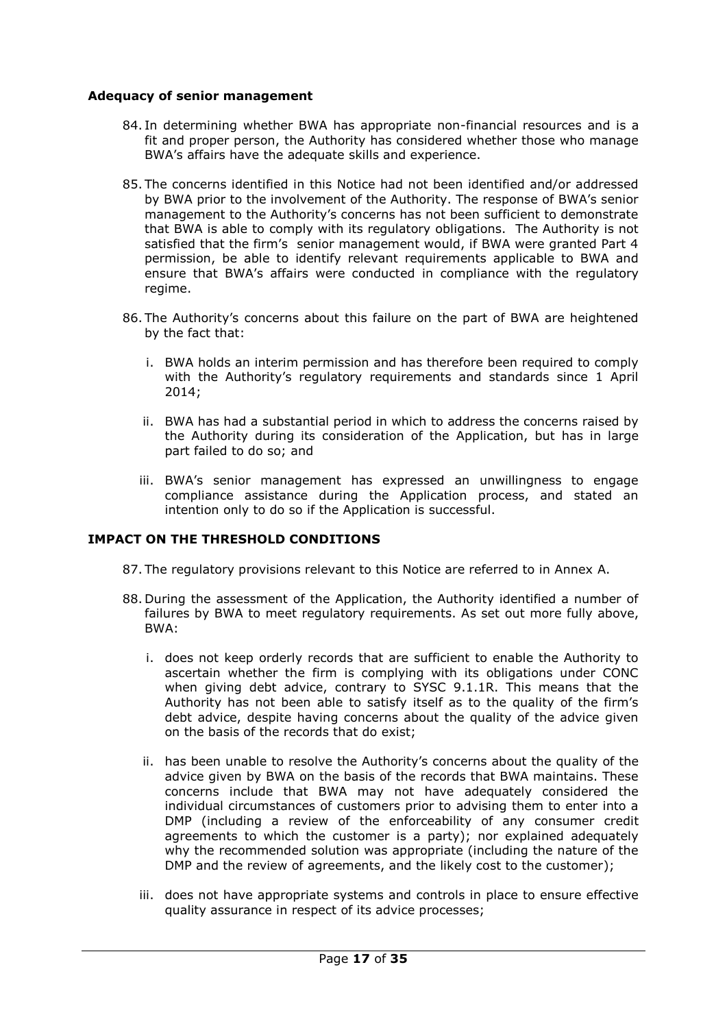## **Adequacy of senior management**

- 84. In determining whether BWA has appropriate non-financial resources and is a fit and proper person, the Authority has considered whether those who manage BWA's affairs have the adequate skills and experience.
- 85. The concerns identified in this Notice had not been identified and/or addressed by BWA prior to the involvement of the Authority. The response of BWA's senior management to the Authority's concerns has not been sufficient to demonstrate that BWA is able to comply with its regulatory obligations. The Authority is not satisfied that the firm's senior management would, if BWA were granted Part 4 permission, be able to identify relevant requirements applicable to BWA and ensure that BWA's affairs were conducted in compliance with the regulatory regime.
- 86. The Authority's concerns about this failure on the part of BWA are heightened by the fact that:
	- i. BWA holds an interim permission and has therefore been required to comply with the Authority's regulatory requirements and standards since 1 April 2014;
	- ii. BWA has had a substantial period in which to address the concerns raised by the Authority during its consideration of the Application, but has in large part failed to do so; and
	- iii. BWA's senior management has expressed an unwillingness to engage compliance assistance during the Application process, and stated an intention only to do so if the Application is successful.

## **IMPACT ON THE THRESHOLD CONDITIONS**

- 87. The regulatory provisions relevant to this Notice are referred to in Annex A.
- 88. During the assessment of the Application, the Authority identified a number of failures by BWA to meet regulatory requirements. As set out more fully above, BWA:
	- i. does not keep orderly records that are sufficient to enable the Authority to ascertain whether the firm is complying with its obligations under CONC when giving debt advice, contrary to SYSC 9.1.1R. This means that the Authority has not been able to satisfy itself as to the quality of the firm's debt advice, despite having concerns about the quality of the advice given on the basis of the records that do exist;
	- ii. has been unable to resolve the Authority's concerns about the quality of the advice given by BWA on the basis of the records that BWA maintains. These concerns include that BWA may not have adequately considered the individual circumstances of customers prior to advising them to enter into a DMP (including a review of the enforceability of any consumer credit agreements to which the customer is a party); nor explained adequately why the recommended solution was appropriate (including the nature of the DMP and the review of agreements, and the likely cost to the customer);
	- iii. does not have appropriate systems and controls in place to ensure effective quality assurance in respect of its advice processes;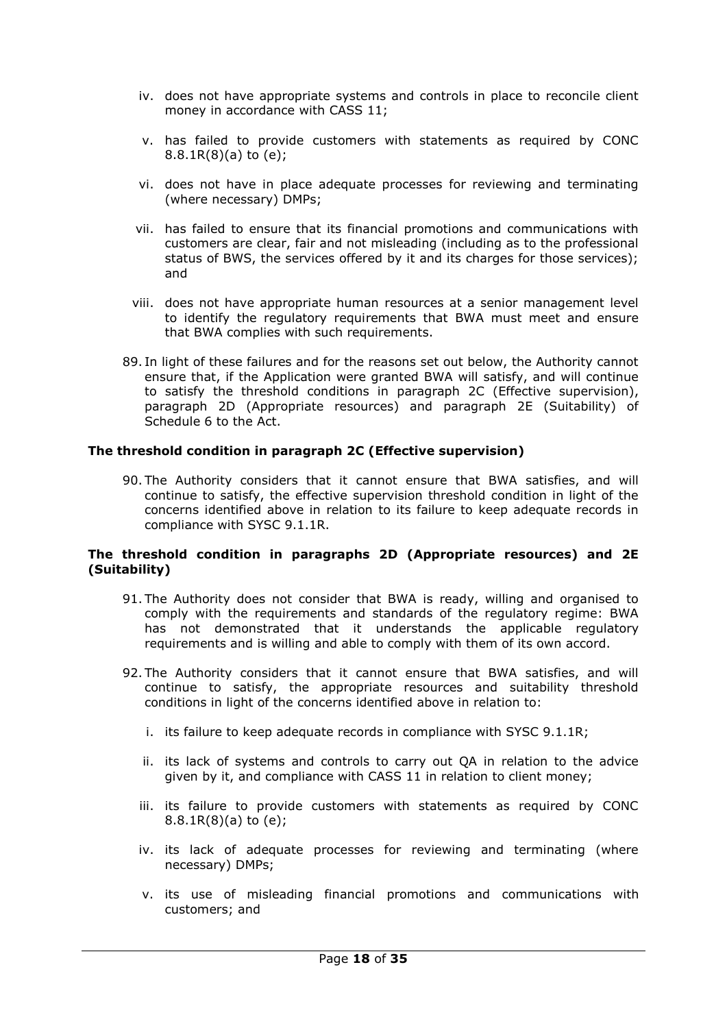- iv. does not have appropriate systems and controls in place to reconcile client money in accordance with CASS 11;
- v. has failed to provide customers with statements as required by CONC 8.8.1R(8)(a) to (e);
- vi. does not have in place adequate processes for reviewing and terminating (where necessary) DMPs;
- vii. has failed to ensure that its financial promotions and communications with customers are clear, fair and not misleading (including as to the professional status of BWS, the services offered by it and its charges for those services); and
- viii. does not have appropriate human resources at a senior management level to identify the regulatory requirements that BWA must meet and ensure that BWA complies with such requirements.
- 89. In light of these failures and for the reasons set out below, the Authority cannot ensure that, if the Application were granted BWA will satisfy, and will continue to satisfy the threshold conditions in paragraph 2C (Effective supervision), paragraph 2D (Appropriate resources) and paragraph 2E (Suitability) of Schedule 6 to the Act.

### **The threshold condition in paragraph 2C (Effective supervision)**

90. The Authority considers that it cannot ensure that BWA satisfies, and will continue to satisfy, the effective supervision threshold condition in light of the concerns identified above in relation to its failure to keep adequate records in compliance with SYSC 9.1.1R.

### **The threshold condition in paragraphs 2D (Appropriate resources) and 2E (Suitability)**

- 91. The Authority does not consider that BWA is ready, willing and organised to comply with the requirements and standards of the regulatory regime: BWA has not demonstrated that it understands the applicable regulatory requirements and is willing and able to comply with them of its own accord.
- 92. The Authority considers that it cannot ensure that BWA satisfies, and will continue to satisfy, the appropriate resources and suitability threshold conditions in light of the concerns identified above in relation to:
	- i. its failure to keep adequate records in compliance with SYSC 9.1.1R;
	- ii. its lack of systems and controls to carry out QA in relation to the advice given by it, and compliance with CASS 11 in relation to client money;
	- iii. its failure to provide customers with statements as required by CONC 8.8.1R(8)(a) to (e);
	- iv. its lack of adequate processes for reviewing and terminating (where necessary) DMPs;
	- v. its use of misleading financial promotions and communications with customers; and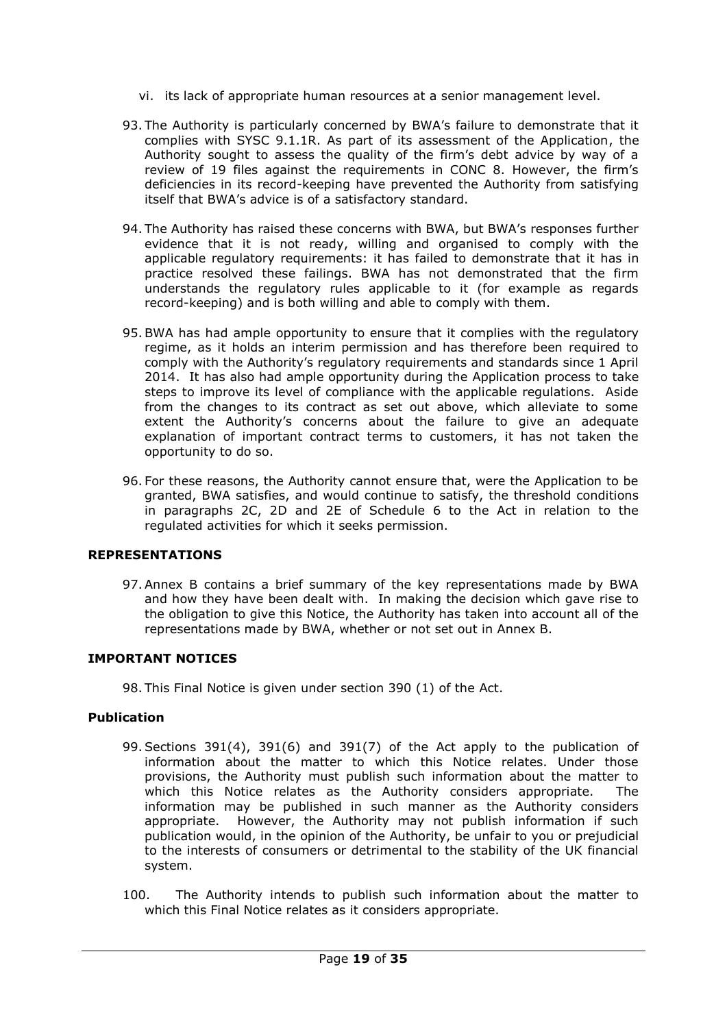- vi. its lack of appropriate human resources at a senior management level.
- 93. The Authority is particularly concerned by BWA's failure to demonstrate that it complies with SYSC 9.1.1R. As part of its assessment of the Application, the Authority sought to assess the quality of the firm's debt advice by way of a review of 19 files against the requirements in CONC 8. However, the firm's deficiencies in its record-keeping have prevented the Authority from satisfying itself that BWA's advice is of a satisfactory standard.
- 94. The Authority has raised these concerns with BWA, but BWA's responses further evidence that it is not ready, willing and organised to comply with the applicable regulatory requirements: it has failed to demonstrate that it has in practice resolved these failings. BWA has not demonstrated that the firm understands the regulatory rules applicable to it (for example as regards record-keeping) and is both willing and able to comply with them.
- 95.BWA has had ample opportunity to ensure that it complies with the regulatory regime, as it holds an interim permission and has therefore been required to comply with the Authority's regulatory requirements and standards since 1 April 2014. It has also had ample opportunity during the Application process to take steps to improve its level of compliance with the applicable regulations. Aside from the changes to its contract as set out above, which alleviate to some extent the Authority's concerns about the failure to give an adequate explanation of important contract terms to customers, it has not taken the opportunity to do so.
- 96. For these reasons, the Authority cannot ensure that, were the Application to be granted, BWA satisfies, and would continue to satisfy, the threshold conditions in paragraphs 2C, 2D and 2E of Schedule 6 to the Act in relation to the regulated activities for which it seeks permission.

## **REPRESENTATIONS**

97.Annex B contains a brief summary of the key representations made by BWA and how they have been dealt with. In making the decision which gave rise to the obligation to give this Notice, the Authority has taken into account all of the representations made by BWA, whether or not set out in Annex B.

## **IMPORTANT NOTICES**

98. This Final Notice is given under section 390 (1) of the Act.

## **Publication**

- 99.Sections 391(4), 391(6) and 391(7) of the Act apply to the publication of information about the matter to which this Notice relates. Under those provisions, the Authority must publish such information about the matter to which this Notice relates as the Authority considers appropriate. The information may be published in such manner as the Authority considers appropriate. However, the Authority may not publish information if such publication would, in the opinion of the Authority, be unfair to you or prejudicial to the interests of consumers or detrimental to the stability of the UK financial system.
- 100. The Authority intends to publish such information about the matter to which this Final Notice relates as it considers appropriate.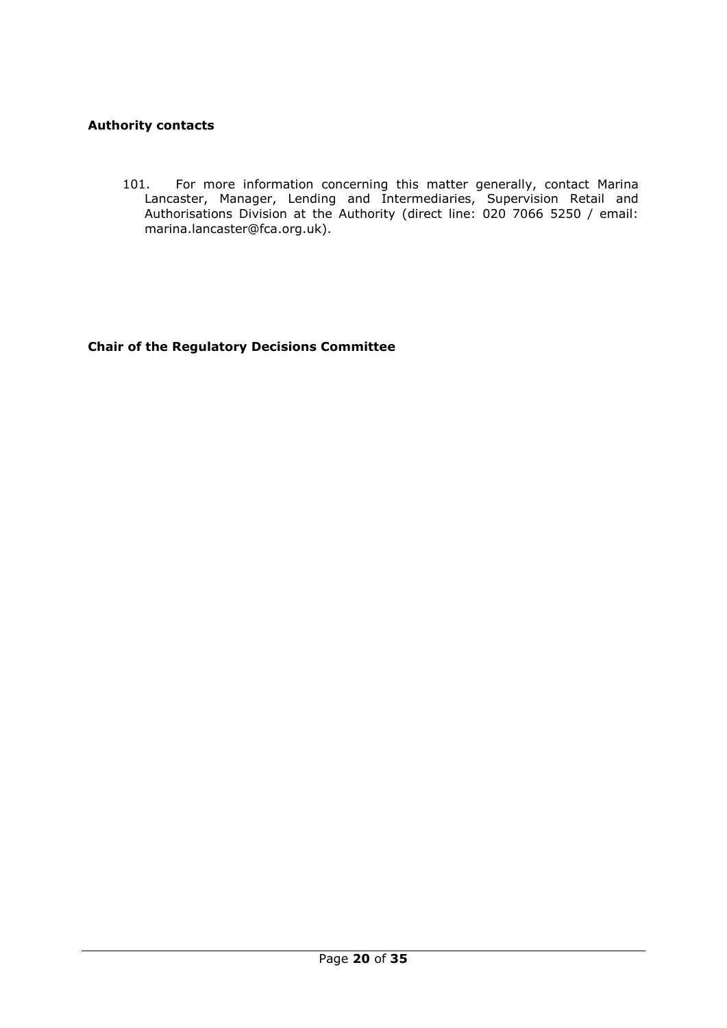## **Authority contacts**

101. For more information concerning this matter generally, contact Marina Lancaster, Manager, Lending and Intermediaries, Supervision Retail and Authorisations Division at the Authority (direct line: 020 7066 5250 / email: marina.lancaster@fca.org.uk).

**Chair of the Regulatory Decisions Committee**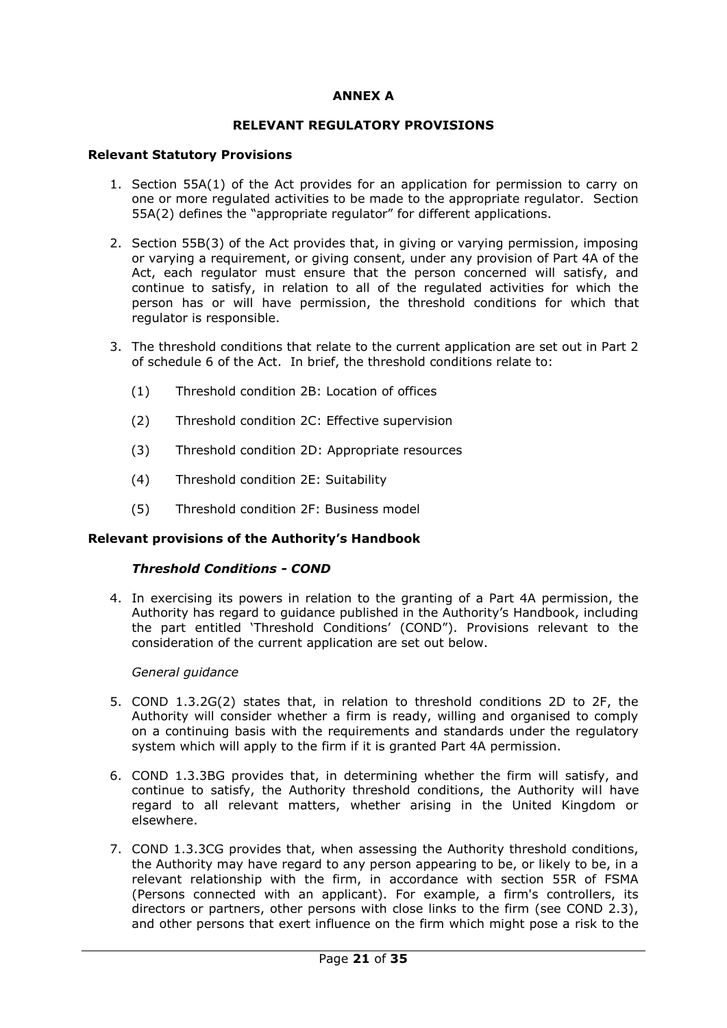## **ANNEX A**

### **RELEVANT REGULATORY PROVISIONS**

### **Relevant Statutory Provisions**

- 1. Section 55A(1) of the Act provides for an application for permission to carry on one or more regulated activities to be made to the appropriate regulator. Section 55A(2) defines the "appropriate regulator" for different applications.
- 2. Section 55B(3) of the Act provides that, in giving or varying permission, imposing or varying a requirement, or giving consent, under any provision of Part 4A of the Act, each regulator must ensure that the person concerned will satisfy, and continue to satisfy, in relation to all of the regulated activities for which the person has or will have permission, the threshold conditions for which that regulator is responsible.
- 3. The threshold conditions that relate to the current application are set out in Part 2 of schedule 6 of the Act. In brief, the threshold conditions relate to:
	- (1) Threshold condition 2B: Location of offices
	- (2) Threshold condition 2C: Effective supervision
	- (3) Threshold condition 2D: Appropriate resources
	- (4) Threshold condition 2E: Suitability
	- (5) Threshold condition 2F: Business model

## **Relevant provisions of the Authority's Handbook**

### *Threshold Conditions - COND*

4. In exercising its powers in relation to the granting of a Part 4A permission, the Authority has regard to guidance published in the Authority's Handbook, including the part entitled 'Threshold Conditions' (COND"). Provisions relevant to the consideration of the current application are set out below.

### *General guidance*

- 5. COND 1.3.2G(2) states that, in relation to threshold conditions 2D to 2F, the Authority will consider whether a firm is ready, willing and organised to comply on a continuing basis with the requirements and standards under the regulatory system which will apply to the firm if it is granted Part 4A permission.
- 6. COND 1.3.3BG provides that, in determining whether the firm will satisfy, and continue to satisfy, the Authority threshold conditions, the Authority will have regard to all relevant matters, whether arising in the United Kingdom or elsewhere.
- 7. COND 1.3.3CG provides that, when assessing the Authority threshold conditions, the Authority may have regard to any person appearing to be, or likely to be, in a relevant relationship with the firm, in accordance with section 55R of FSMA (Persons connected with an applicant). For example, a firm's controllers, its directors or partners, other persons with close links to the firm (see COND 2.3), and other persons that exert influence on the firm which might pose a risk to the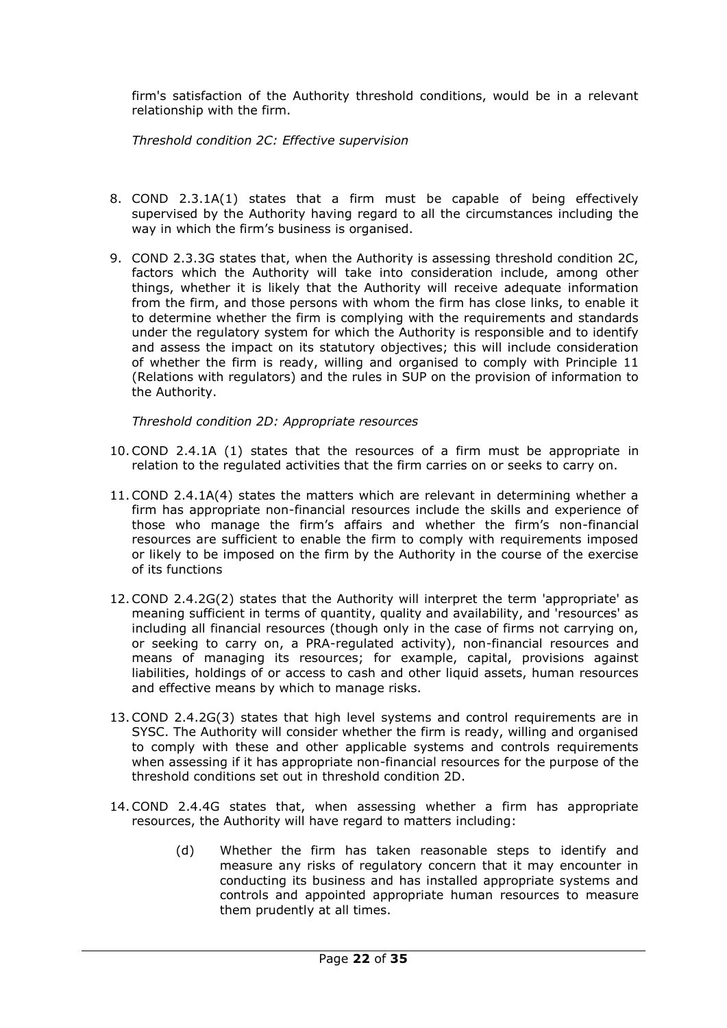firm's satisfaction of the Authority threshold conditions, would be in a relevant relationship with the firm.

*Threshold condition 2C: Effective supervision*

- 8. COND 2.3.1A(1) states that a firm must be capable of being effectively supervised by the Authority having regard to all the circumstances including the way in which the firm's business is organised.
- 9. COND 2.3.3G states that, when the Authority is assessing threshold condition 2C, factors which the Authority will take into consideration include, among other things, whether it is likely that the Authority will receive adequate information from the firm, and those persons with whom the firm has close links, to enable it to determine whether the firm is complying with the requirements and standards under the regulatory system for which the Authority is responsible and to identify and assess the impact on its statutory objectives; this will include consideration of whether the firm is ready, willing and organised to comply with Principle 11 (Relations with regulators) and the rules in SUP on the provision of information to the Authority.

*Threshold condition 2D: Appropriate resources*

- 10.COND 2.4.1A (1) states that the resources of a firm must be appropriate in relation to the regulated activities that the firm carries on or seeks to carry on.
- 11.COND 2.4.1A(4) states the matters which are relevant in determining whether a firm has appropriate non-financial resources include the skills and experience of those who manage the firm's affairs and whether the firm's non-financial resources are sufficient to enable the firm to comply with requirements imposed or likely to be imposed on the firm by the Authority in the course of the exercise of its functions
- 12.COND 2.4.2G(2) states that the Authority will interpret the term 'appropriate' as meaning sufficient in terms of quantity, quality and availability, and 'resources' as including all financial resources (though only in the case of firms not carrying on, or seeking to carry on, a PRA-regulated activity), non-financial resources and means of managing its resources; for example, capital, provisions against liabilities, holdings of or access to cash and other liquid assets, human resources and effective means by which to manage risks.
- 13.COND 2.4.2G(3) states that high level systems and control requirements are in SYSC. The Authority will consider whether the firm is ready, willing and organised to comply with these and other applicable systems and controls requirements when assessing if it has appropriate non-financial resources for the purpose of the threshold conditions set out in threshold condition 2D.
- 14.COND 2.4.4G states that, when assessing whether a firm has appropriate resources, the Authority will have regard to matters including:
	- (d) Whether the firm has taken reasonable steps to identify and measure any risks of regulatory concern that it may encounter in conducting its business and has installed appropriate systems and controls and appointed appropriate human resources to measure them prudently at all times.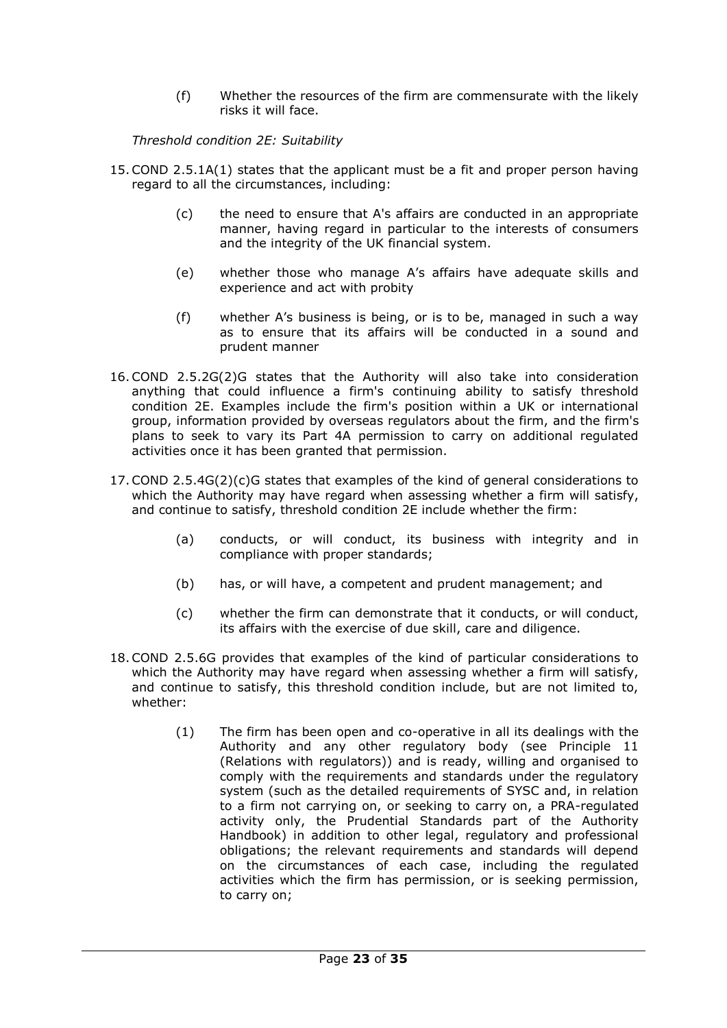(f) Whether the resources of the firm are commensurate with the likely risks it will face.

*Threshold condition 2E: Suitability*

- 15.COND 2.5.1A(1) states that the applicant must be a fit and proper person having regard to all the circumstances, including:
	- (c) the need to ensure that A's affairs are conducted in an appropriate manner, having regard in particular to the interests of consumers and the integrity of the UK financial system.
	- (e) whether those who manage A's affairs have adequate skills and experience and act with probity
	- (f) whether A's business is being, or is to be, managed in such a way as to ensure that its affairs will be conducted in a sound and prudent manner
- 16.COND 2.5.2G(2)G states that the Authority will also take into consideration anything that could influence a firm's continuing ability to satisfy threshold condition 2E. Examples include the firm's position within a UK or international group, information provided by overseas regulators about the firm, and the firm's plans to seek to vary its Part 4A permission to carry on additional regulated activities once it has been granted that permission.
- 17.COND 2.5.4G(2)(c)G states that examples of the kind of general considerations to which the Authority may have regard when assessing whether a firm will satisfy, and continue to satisfy, threshold condition 2E include whether the firm:
	- (a) conducts, or will conduct, its business with integrity and in compliance with proper standards;
	- (b) has, or will have, a competent and prudent management; and
	- (c) whether the firm can demonstrate that it conducts, or will conduct, its affairs with the exercise of due skill, care and diligence.
- 18.COND 2.5.6G provides that examples of the kind of particular considerations to which the Authority may have regard when assessing whether a firm will satisfy, and continue to satisfy, this threshold condition include, but are not limited to, whether:
	- (1) The firm has been open and co-operative in all its dealings with the Authority and any other regulatory body (see Principle 11 (Relations with regulators)) and is ready, willing and organised to comply with the requirements and standards under the regulatory system (such as the detailed requirements of SYSC and, in relation to a firm not carrying on, or seeking to carry on, a PRA-regulated activity only, the Prudential Standards part of the Authority Handbook) in addition to other legal, regulatory and professional obligations; the relevant requirements and standards will depend on the circumstances of each case, including the regulated activities which the firm has permission, or is seeking permission, to carry on;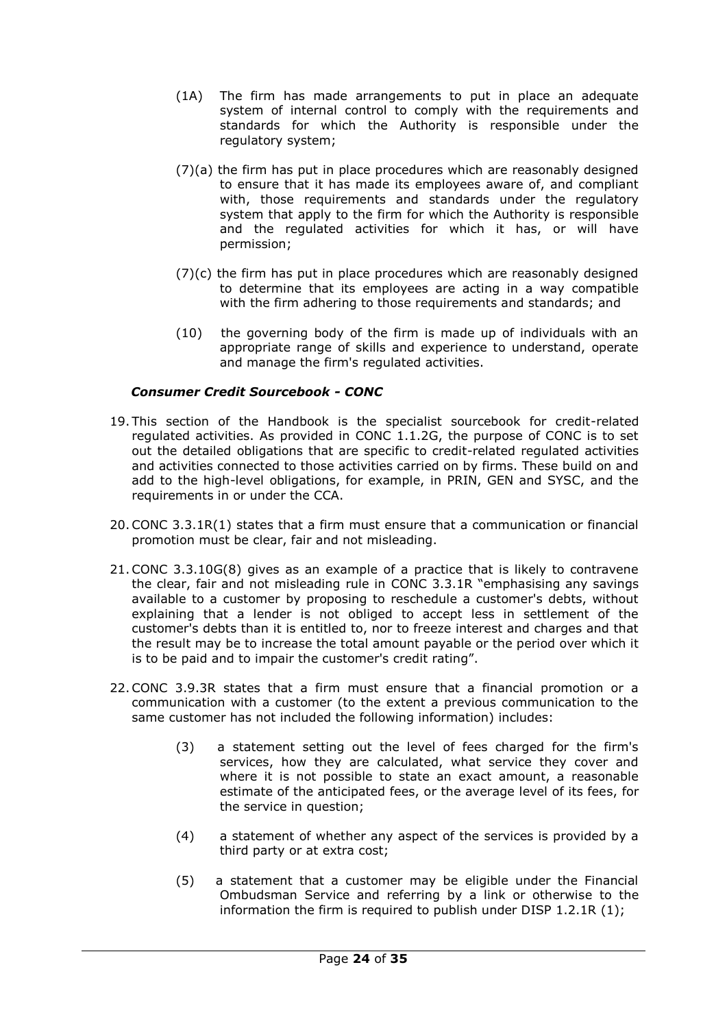- (1A) The firm has made arrangements to put in place an adequate system of internal control to comply with the requirements and standards for which the Authority is responsible under the regulatory system;
- (7)(a) the firm has put in place procedures which are reasonably designed to ensure that it has made its employees aware of, and compliant with, those requirements and standards under the regulatory system that apply to the firm for which the Authority is responsible and the regulated activities for which it has, or will have permission;
- (7)(c) the firm has put in place procedures which are reasonably designed to determine that its employees are acting in a way compatible with the firm adhering to those requirements and standards; and
- (10) the governing body of the firm is made up of individuals with an appropriate range of skills and experience to understand, operate and manage the firm's regulated activities.

## *Consumer Credit Sourcebook - CONC*

- 19. This section of the Handbook is the specialist sourcebook for credit-related regulated activities. As provided in CONC 1.1.2G, the purpose of CONC is to set out the detailed obligations that are specific to credit-related regulated activities and activities connected to those activities carried on by firms. These build on and add to the high-level obligations, for example, in PRIN, GEN and SYSC, and the requirements in or under the CCA.
- 20.CONC 3.3.1R(1) states that a firm must ensure that a communication or financial promotion must be clear, fair and not misleading.
- 21.CONC 3.3.10G(8) gives as an example of a practice that is likely to contravene the clear, fair and not misleading rule in CONC 3.3.1R "emphasising any savings available to a customer by proposing to reschedule a customer's debts, without explaining that a lender is not obliged to accept less in settlement of the customer's debts than it is entitled to, nor to freeze interest and charges and that the result may be to increase the total amount payable or the period over which it is to be paid and to impair the customer's credit rating".
- 22.CONC 3.9.3R states that a firm must ensure that a financial promotion or a communication with a customer (to the extent a previous communication to the same customer has not included the following information) includes:
	- (3) a statement setting out the level of fees charged for the firm's services, how they are calculated, what service they cover and where it is not possible to state an exact amount, a reasonable estimate of the anticipated fees, or the average level of its fees, for the service in question;
	- (4) a statement of whether any aspect of the services is provided by a third party or at extra cost;
	- (5) a statement that a customer may be eligible under the Financial Ombudsman Service and referring by a link or otherwise to the information the firm is required to publish under DISP 1.2.1R (1);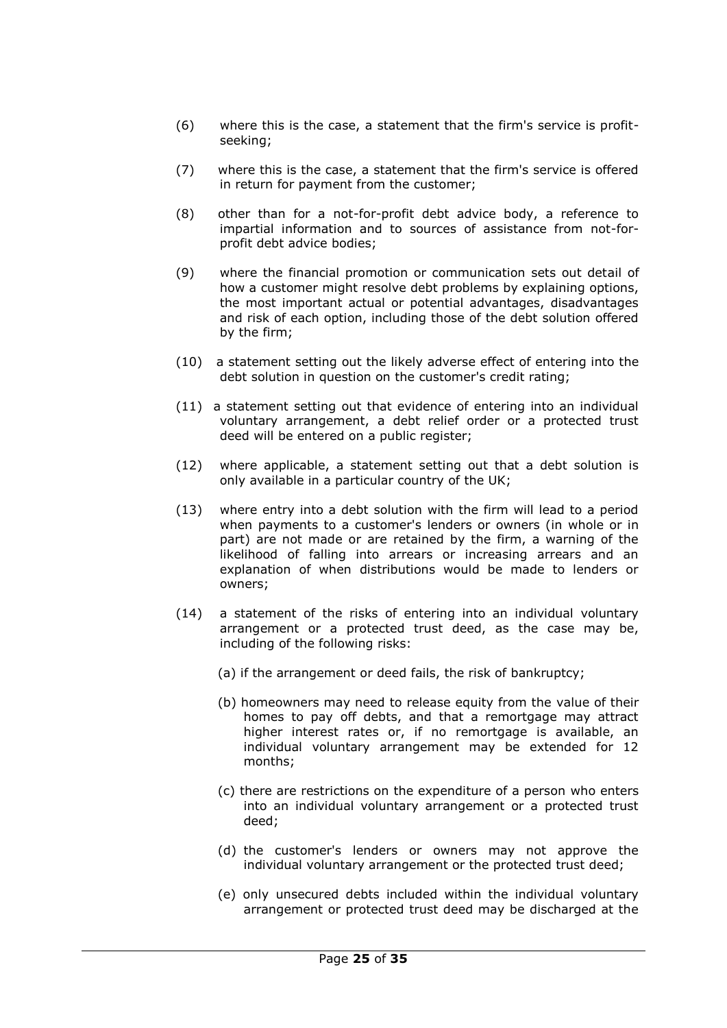- (6) where this is the case, a statement that the firm's service is profitseeking;
- (7) where this is the case, a statement that the firm's service is offered in return for payment from the customer;
- (8) other than for a not-for-profit debt advice body, a reference to impartial information and to sources of assistance from not-forprofit debt advice bodies;
- (9) where the financial promotion or communication sets out detail of how a customer might resolve debt problems by explaining options, the most important actual or potential advantages, disadvantages and risk of each option, including those of the debt solution offered by the firm;
- (10) a statement setting out the likely adverse effect of entering into the debt solution in question on the customer's credit rating;
- (11) a statement setting out that evidence of entering into an individual voluntary arrangement, a debt relief order or a protected trust deed will be entered on a public register;
- (12) where applicable, a statement setting out that a debt solution is only available in a particular country of the UK;
- (13) where entry into a debt solution with the firm will lead to a period when payments to a customer's lenders or owners (in whole or in part) are not made or are retained by the firm, a warning of the likelihood of falling into arrears or increasing arrears and an explanation of when distributions would be made to lenders or owners;
- (14) a statement of the risks of entering into an individual voluntary arrangement or a protected trust deed, as the case may be, including of the following risks:
	- (a) if the arrangement or deed fails, the risk of bankruptcy;
	- (b) homeowners may need to release equity from the value of their homes to pay off debts, and that a remortgage may attract higher interest rates or, if no remortgage is available, an individual voluntary arrangement may be extended for 12 months;
	- (c) there are restrictions on the expenditure of a person who enters into an individual voluntary arrangement or a protected trust deed;
	- (d) the customer's lenders or owners may not approve the individual voluntary arrangement or the protected trust deed;
	- (e) only unsecured debts included within the individual voluntary arrangement or protected trust deed may be discharged at the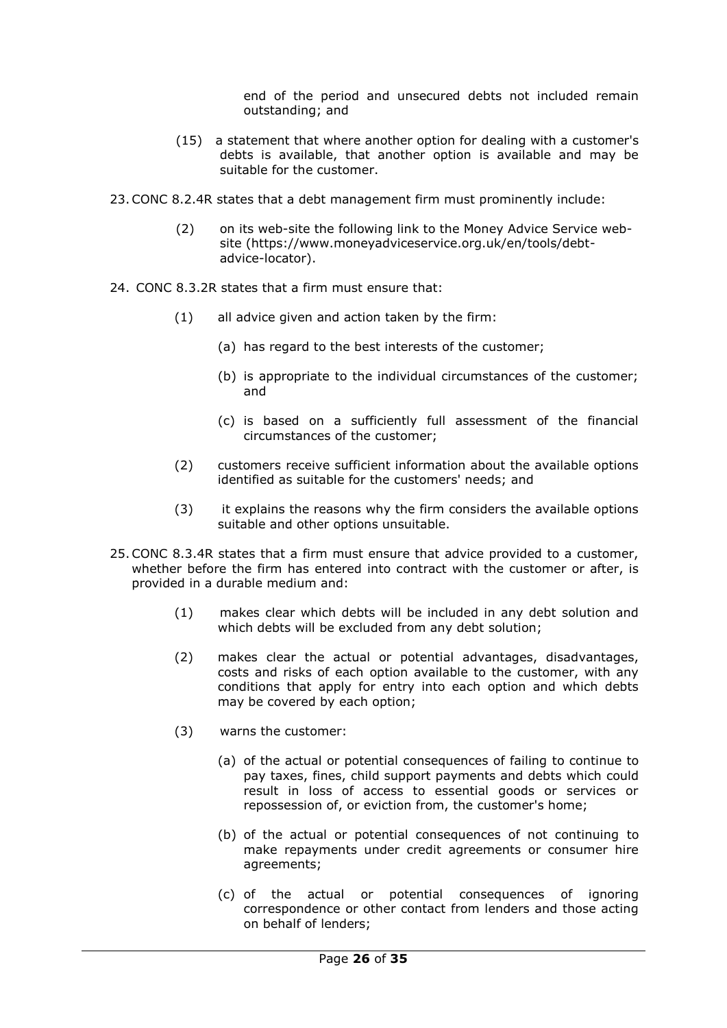end of the period and unsecured debts not included remain outstanding; and

- (15) a statement that where another option for dealing with a customer's debts is available, that another option is available and may be suitable for the customer.
- 23.CONC 8.2.4R states that a debt management firm must prominently include:
	- (2) on its web-site the following link to the Money Advice Service website (https://www.moneyadviceservice.org.uk/en/tools/debtadvice-locator).
- 24. CONC 8.3.2R states that a firm must ensure that:
	- (1) all advice given and action taken by the firm:
		- (a) has regard to the best interests of the customer;
		- (b) is appropriate to the individual circumstances of the customer; and
		- (c) is based on a sufficiently full assessment of the financial circumstances of the customer;
	- (2) customers receive sufficient information about the available options identified as suitable for the customers' needs; and
	- (3) it explains the reasons why the firm considers the available options suitable and other options unsuitable.
- 25.CONC 8.3.4R states that a firm must ensure that advice provided to a customer, whether before the firm has entered into contract with the customer or after, is provided in a durable medium and:
	- (1) makes clear which debts will be included in any debt solution and which debts will be excluded from any debt solution;
	- (2) makes clear the actual or potential advantages, disadvantages, costs and risks of each option available to the customer, with any conditions that apply for entry into each option and which debts may be covered by each option;
	- (3) warns the customer:
		- (a) of the actual or potential consequences of failing to continue to pay taxes, fines, child support payments and debts which could result in loss of access to essential goods or services or repossession of, or eviction from, the customer's home;
		- (b) of the actual or potential consequences of not continuing to make repayments under credit agreements or consumer hire agreements;
		- (c) of the actual or potential consequences of ignoring correspondence or other contact from lenders and those acting on behalf of lenders;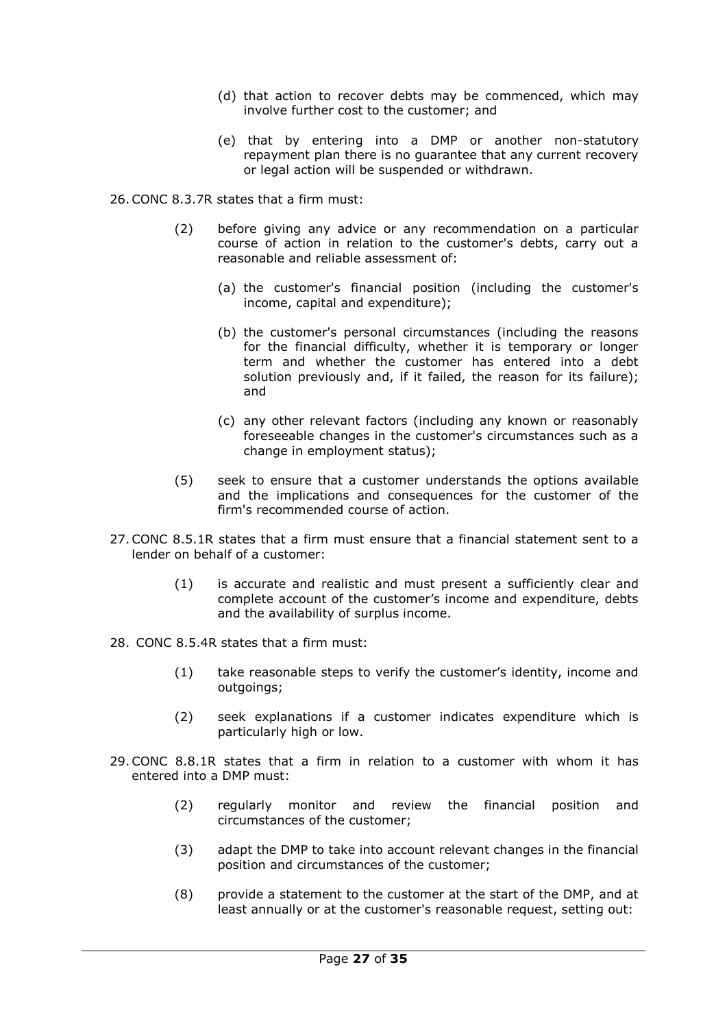- (d) that action to recover debts may be commenced, which may involve further cost to the customer; and
- (e) that by entering into a DMP or another non-statutory repayment plan there is no guarantee that any current recovery or legal action will be suspended or withdrawn.

26.CONC 8.3.7R states that a firm must:

- (2) before giving any advice or any recommendation on a particular course of action in relation to the customer's debts, carry out a reasonable and reliable assessment of:
	- (a) the customer's financial position (including the customer's income, capital and expenditure);
	- (b) the customer's personal circumstances (including the reasons for the financial difficulty, whether it is temporary or longer term and whether the customer has entered into a debt solution previously and, if it failed, the reason for its failure); and
	- (c) any other relevant factors (including any known or reasonably foreseeable changes in the customer's circumstances such as a change in employment status);
- (5) seek to ensure that a customer understands the options available and the implications and consequences for the customer of the firm's recommended course of action.
- 27.CONC 8.5.1R states that a firm must ensure that a financial statement sent to a lender on behalf of a customer:
	- (1) is accurate and realistic and must present a sufficiently clear and complete account of the customer's income and expenditure, debts and the availability of surplus income.
- 28. CONC 8.5.4R states that a firm must:
	- (1) take reasonable steps to verify the customer's identity, income and outgoings;
	- (2) seek explanations if a customer indicates expenditure which is particularly high or low.
- 29.CONC 8.8.1R states that a firm in relation to a customer with whom it has entered into a DMP must:
	- (2) regularly monitor and review the financial position and circumstances of the customer;
	- (3) adapt the DMP to take into account relevant changes in the financial position and circumstances of the customer;
	- (8) provide a statement to the customer at the start of the DMP, and at least annually or at the customer's reasonable request, setting out: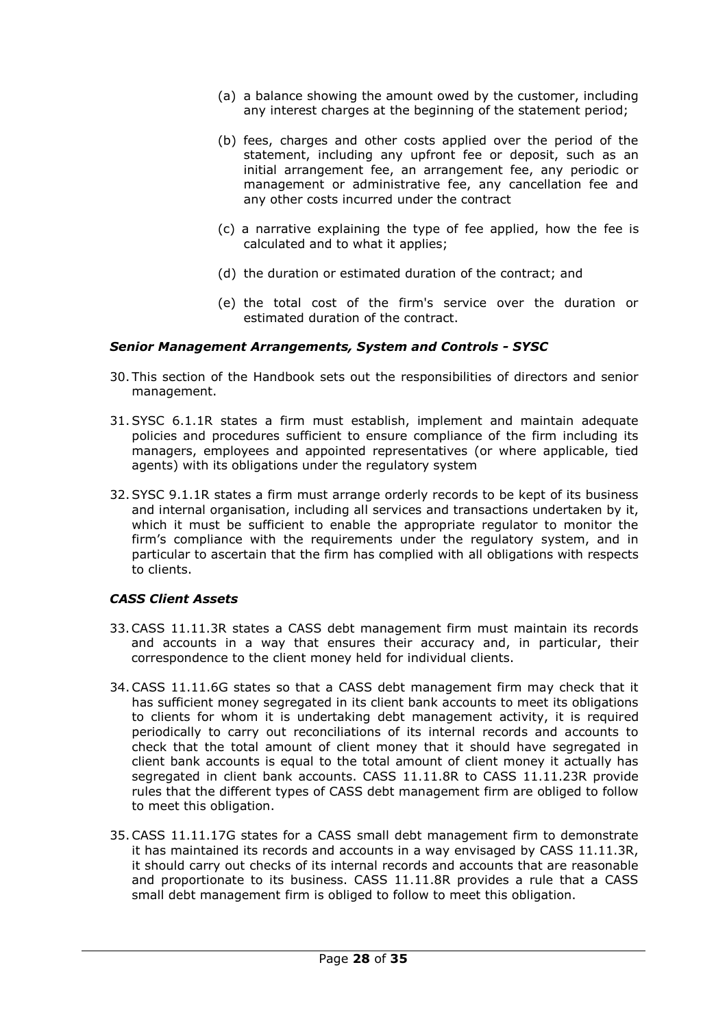- (a) a balance showing the amount owed by the customer, including any interest charges at the beginning of the statement period;
- (b) fees, charges and other costs applied over the period of the statement, including any upfront fee or deposit, such as an initial arrangement fee, an arrangement fee, any periodic or management or administrative fee, any cancellation fee and any other costs incurred under the contract
- (c) a narrative explaining the type of fee applied, how the fee is calculated and to what it applies;
- (d) the duration or estimated duration of the contract; and
- (e) the total cost of the firm's service over the duration or estimated duration of the contract.

### *Senior Management Arrangements, System and Controls - SYSC*

- 30. This section of the Handbook sets out the responsibilities of directors and senior management.
- 31.SYSC 6.1.1R states a firm must establish, implement and maintain adequate policies and procedures sufficient to ensure compliance of the firm including its managers, employees and appointed representatives (or where applicable, tied agents) with its obligations under the regulatory system
- 32.SYSC 9.1.1R states a firm must arrange orderly records to be kept of its business and internal organisation, including all services and transactions undertaken by it, which it must be sufficient to enable the appropriate regulator to monitor the firm's compliance with the requirements under the regulatory system, and in particular to ascertain that the firm has complied with all obligations with respects to clients.

## *CASS Client Assets*

- 33.CASS 11.11.3R states a CASS debt management firm must maintain its records and accounts in a way that ensures their accuracy and, in particular, their correspondence to the client money held for individual clients.
- 34.CASS 11.11.6G states so that a CASS debt management firm may check that it has sufficient money segregated in its client bank accounts to meet its obligations to clients for whom it is undertaking debt management activity, it is required periodically to carry out reconciliations of its internal records and accounts to check that the total amount of client money that it should have segregated in client bank accounts is equal to the total amount of client money it actually has segregated in client bank accounts. CASS 11.11.8R to CASS 11.11.23R provide rules that the different types of CASS debt management firm are obliged to follow to meet this obligation.
- 35.CASS 11.11.17G states for a CASS small debt management firm to demonstrate it has maintained its records and accounts in a way envisaged by CASS 11.11.3R, it should carry out checks of its internal records and accounts that are reasonable and proportionate to its business. CASS 11.11.8R provides a rule that a CASS small debt management firm is obliged to follow to meet this obligation.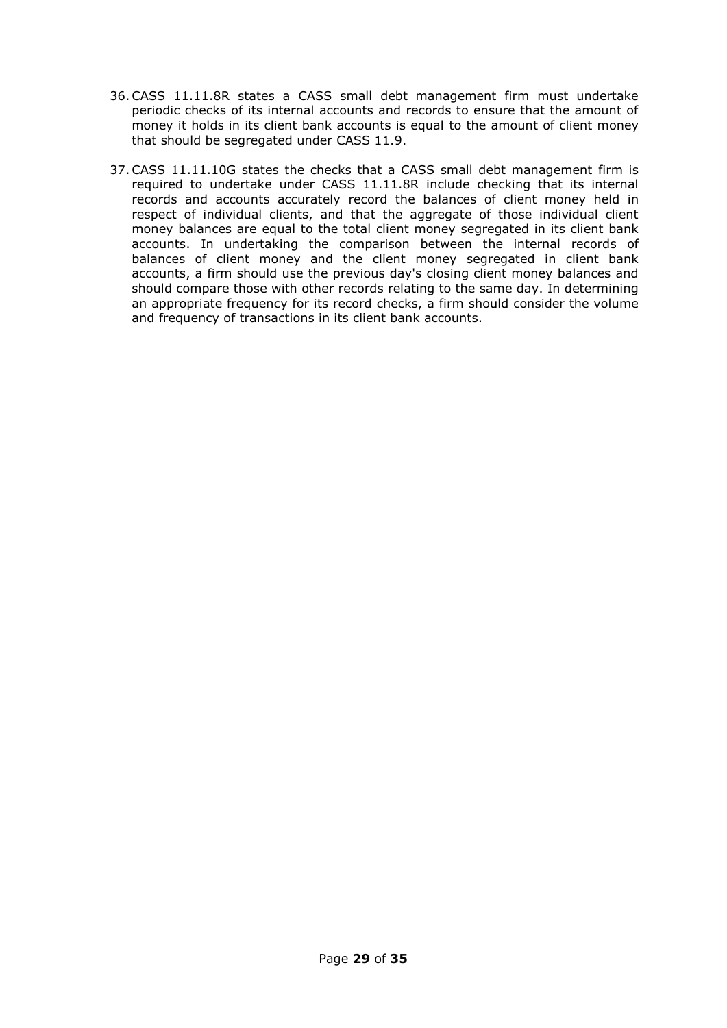- 36.CASS 11.11.8R states a CASS small debt management firm must undertake periodic checks of its internal accounts and records to ensure that the amount of money it holds in its client bank accounts is equal to the amount of client money that should be segregated under CASS 11.9.
- 37.CASS 11.11.10G states the checks that a CASS small debt management firm is required to undertake under CASS 11.11.8R include checking that its internal records and accounts accurately record the balances of client money held in respect of individual clients, and that the aggregate of those individual client money balances are equal to the total client money segregated in its client bank accounts. In undertaking the comparison between the internal records of balances of client money and the client money segregated in client bank accounts, a firm should use the previous day's closing client money balances and should compare those with other records relating to the same day. In determining an appropriate frequency for its record checks, a firm should consider the volume and frequency of transactions in its client bank accounts.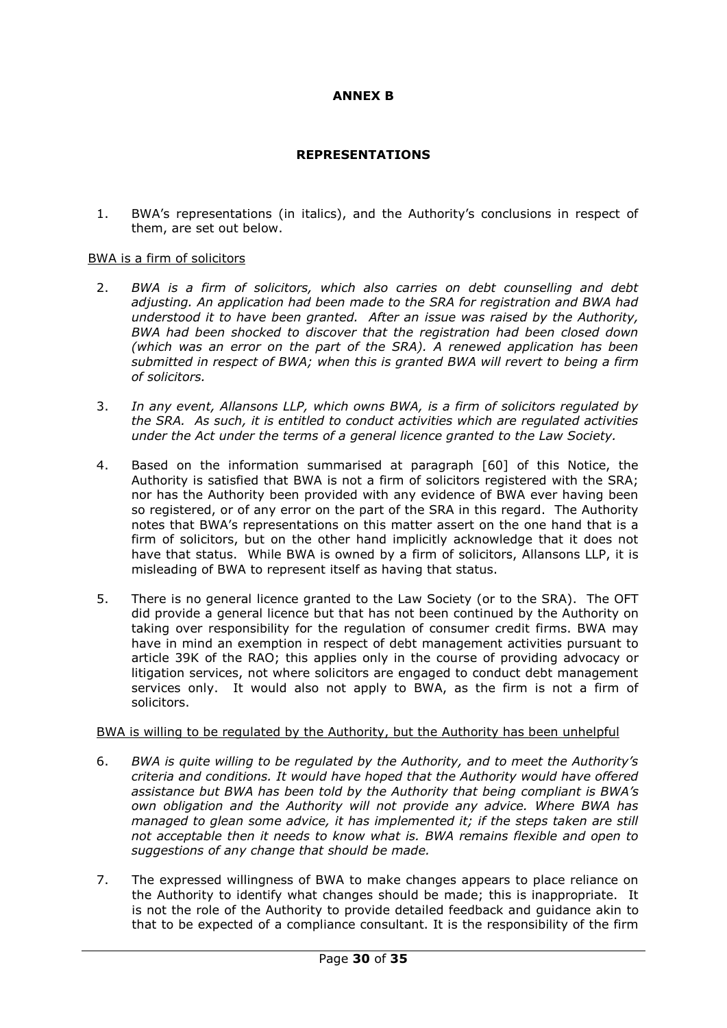## **ANNEX B**

## **REPRESENTATIONS**

1. BWA's representations (in italics), and the Authority's conclusions in respect of them, are set out below.

### BWA is a firm of solicitors

- 2. *BWA is a firm of solicitors, which also carries on debt counselling and debt adjusting. An application had been made to the SRA for registration and BWA had understood it to have been granted. After an issue was raised by the Authority, BWA had been shocked to discover that the registration had been closed down (which was an error on the part of the SRA). A renewed application has been submitted in respect of BWA; when this is granted BWA will revert to being a firm of solicitors.*
- 3. *In any event, Allansons LLP, which owns BWA, is a firm of solicitors regulated by the SRA. As such, it is entitled to conduct activities which are regulated activities under the Act under the terms of a general licence granted to the Law Society.*
- 4. Based on the information summarised at paragraph [60] of this Notice, the Authority is satisfied that BWA is not a firm of solicitors registered with the SRA; nor has the Authority been provided with any evidence of BWA ever having been so registered, or of any error on the part of the SRA in this regard. The Authority notes that BWA's representations on this matter assert on the one hand that is a firm of solicitors, but on the other hand implicitly acknowledge that it does not have that status. While BWA is owned by a firm of solicitors, Allansons LLP, it is misleading of BWA to represent itself as having that status.
- 5. There is no general licence granted to the Law Society (or to the SRA). The OFT did provide a general licence but that has not been continued by the Authority on taking over responsibility for the regulation of consumer credit firms. BWA may have in mind an exemption in respect of debt management activities pursuant to article 39K of the RAO; this applies only in the course of providing advocacy or litigation services, not where solicitors are engaged to conduct debt management services only. It would also not apply to BWA, as the firm is not a firm of solicitors.

## BWA is willing to be regulated by the Authority, but the Authority has been unhelpful

- 6. *BWA is quite willing to be regulated by the Authority, and to meet the Authority's criteria and conditions. It would have hoped that the Authority would have offered assistance but BWA has been told by the Authority that being compliant is BWA's own obligation and the Authority will not provide any advice. Where BWA has managed to glean some advice, it has implemented it; if the steps taken are still not acceptable then it needs to know what is. BWA remains flexible and open to suggestions of any change that should be made.*
- 7. The expressed willingness of BWA to make changes appears to place reliance on the Authority to identify what changes should be made; this is inappropriate. It is not the role of the Authority to provide detailed feedback and guidance akin to that to be expected of a compliance consultant. It is the responsibility of the firm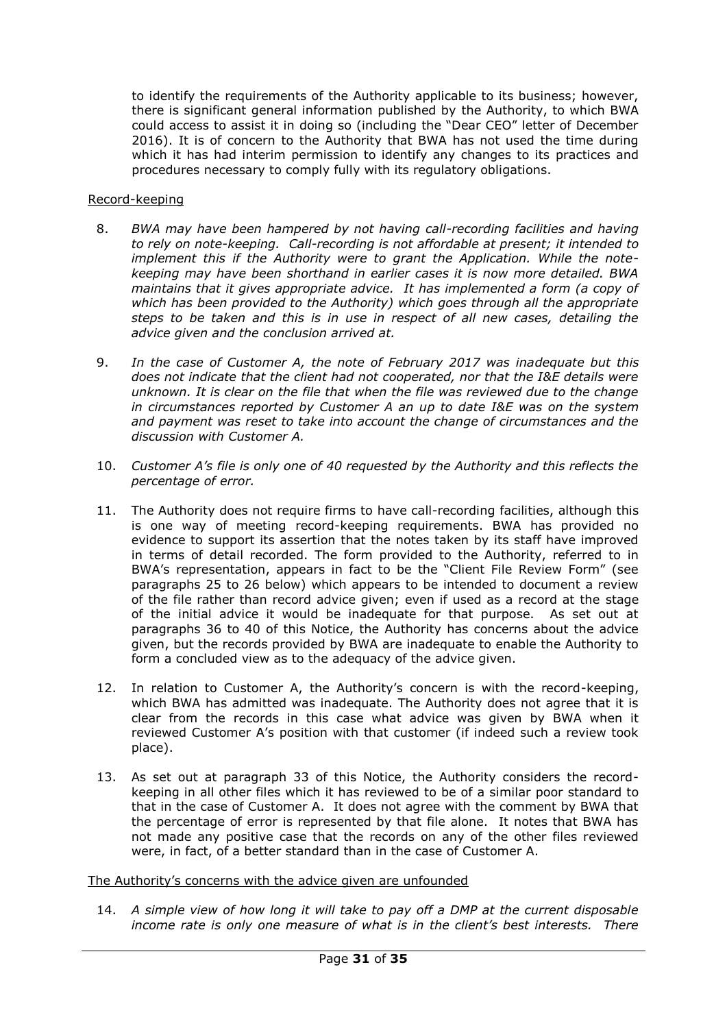to identify the requirements of the Authority applicable to its business; however, there is significant general information published by the Authority, to which BWA could access to assist it in doing so (including the "Dear CEO" letter of December 2016). It is of concern to the Authority that BWA has not used the time during which it has had interim permission to identify any changes to its practices and procedures necessary to comply fully with its regulatory obligations.

## Record-keeping

- 8. *BWA may have been hampered by not having call-recording facilities and having to rely on note-keeping. Call-recording is not affordable at present; it intended to implement this if the Authority were to grant the Application. While the notekeeping may have been shorthand in earlier cases it is now more detailed. BWA maintains that it gives appropriate advice. It has implemented a form (a copy of which has been provided to the Authority) which goes through all the appropriate steps to be taken and this is in use in respect of all new cases, detailing the advice given and the conclusion arrived at.*
- 9. *In the case of Customer A, the note of February 2017 was inadequate but this does not indicate that the client had not cooperated, nor that the I&E details were unknown. It is clear on the file that when the file was reviewed due to the change in circumstances reported by Customer A an up to date I&E was on the system and payment was reset to take into account the change of circumstances and the discussion with Customer A.*
- 10. *Customer A's file is only one of 40 requested by the Authority and this reflects the percentage of error.*
- 11. The Authority does not require firms to have call-recording facilities, although this is one way of meeting record-keeping requirements. BWA has provided no evidence to support its assertion that the notes taken by its staff have improved in terms of detail recorded. The form provided to the Authority, referred to in BWA's representation, appears in fact to be the "Client File Review Form" (see paragraphs 25 to 26 below) which appears to be intended to document a review of the file rather than record advice given; even if used as a record at the stage of the initial advice it would be inadequate for that purpose. As set out at paragraphs 36 to 40 of this Notice, the Authority has concerns about the advice given, but the records provided by BWA are inadequate to enable the Authority to form a concluded view as to the adequacy of the advice given.
- 12. In relation to Customer A, the Authority's concern is with the record-keeping, which BWA has admitted was inadequate. The Authority does not agree that it is clear from the records in this case what advice was given by BWA when it reviewed Customer A's position with that customer (if indeed such a review took place).
- 13. As set out at paragraph 33 of this Notice, the Authority considers the recordkeeping in all other files which it has reviewed to be of a similar poor standard to that in the case of Customer A. It does not agree with the comment by BWA that the percentage of error is represented by that file alone. It notes that BWA has not made any positive case that the records on any of the other files reviewed were, in fact, of a better standard than in the case of Customer A.

## The Authority's concerns with the advice given are unfounded

14. *A simple view of how long it will take to pay off a DMP at the current disposable income rate is only one measure of what is in the client's best interests. There*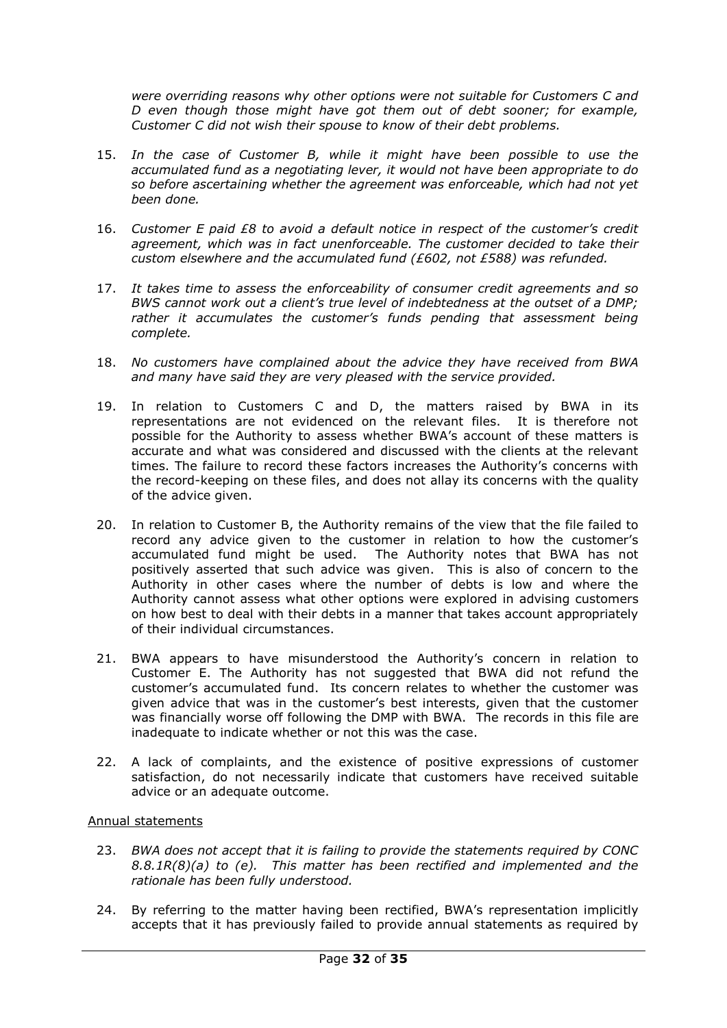*were overriding reasons why other options were not suitable for Customers C and D even though those might have got them out of debt sooner; for example, Customer C did not wish their spouse to know of their debt problems.* 

- 15. *In the case of Customer B, while it might have been possible to use the accumulated fund as a negotiating lever, it would not have been appropriate to do so before ascertaining whether the agreement was enforceable, which had not yet been done.*
- 16. *Customer E paid £8 to avoid a default notice in respect of the customer's credit agreement, which was in fact unenforceable. The customer decided to take their custom elsewhere and the accumulated fund (£602, not £588) was refunded.*
- 17. *It takes time to assess the enforceability of consumer credit agreements and so BWS cannot work out a client's true level of indebtedness at the outset of a DMP;*  rather it accumulates the customer's funds pending that assessment being *complete.*
- 18. *No customers have complained about the advice they have received from BWA and many have said they are very pleased with the service provided.*
- 19. In relation to Customers C and D, the matters raised by BWA in its representations are not evidenced on the relevant files. It is therefore not possible for the Authority to assess whether BWA's account of these matters is accurate and what was considered and discussed with the clients at the relevant times. The failure to record these factors increases the Authority's concerns with the record-keeping on these files, and does not allay its concerns with the quality of the advice given.
- 20. In relation to Customer B, the Authority remains of the view that the file failed to record any advice given to the customer in relation to how the customer's accumulated fund might be used. The Authority notes that BWA has not positively asserted that such advice was given. This is also of concern to the Authority in other cases where the number of debts is low and where the Authority cannot assess what other options were explored in advising customers on how best to deal with their debts in a manner that takes account appropriately of their individual circumstances.
- 21. BWA appears to have misunderstood the Authority's concern in relation to Customer E. The Authority has not suggested that BWA did not refund the customer's accumulated fund. Its concern relates to whether the customer was given advice that was in the customer's best interests, given that the customer was financially worse off following the DMP with BWA. The records in this file are inadequate to indicate whether or not this was the case.
- 22. A lack of complaints, and the existence of positive expressions of customer satisfaction, do not necessarily indicate that customers have received suitable advice or an adequate outcome.

## Annual statements

- 23. *BWA does not accept that it is failing to provide the statements required by CONC 8.8.1R(8)(a) to (e). This matter has been rectified and implemented and the rationale has been fully understood.*
- 24. By referring to the matter having been rectified, BWA's representation implicitly accepts that it has previously failed to provide annual statements as required by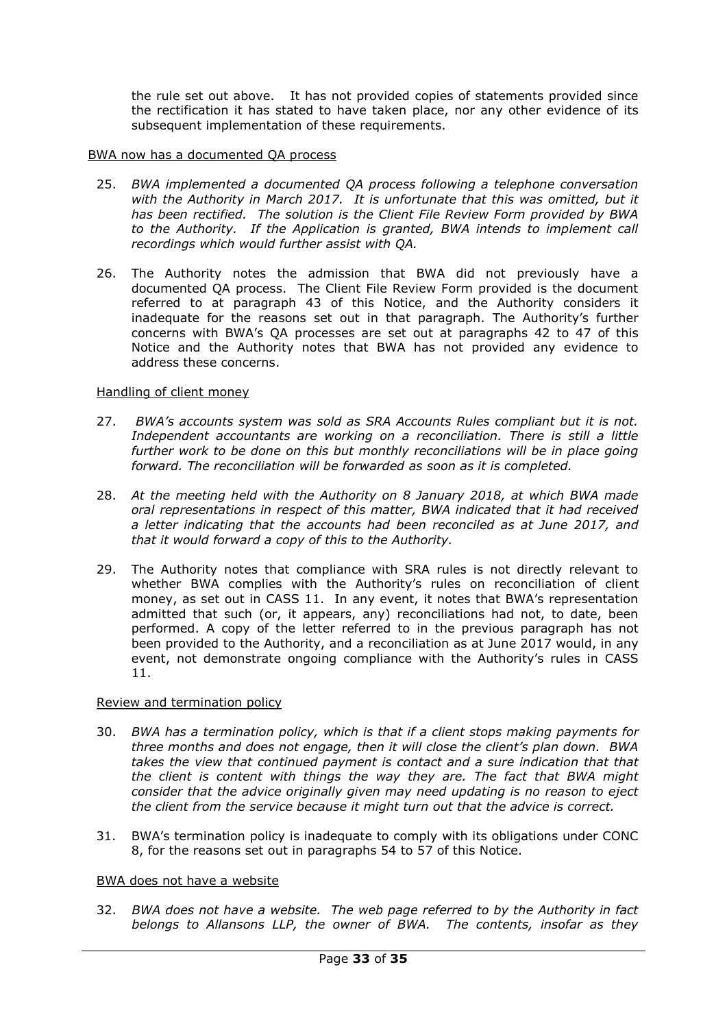the rule set out above. It has not provided copies of statements provided since the rectification it has stated to have taken place, nor any other evidence of its subsequent implementation of these requirements.

### BWA now has a documented QA process

- 25. *BWA implemented a documented QA process following a telephone conversation*  with the Authority in March 2017. It is unfortunate that this was omitted, but it *has been rectified. The solution is the Client File Review Form provided by BWA to the Authority. If the Application is granted, BWA intends to implement call recordings which would further assist with QA.*
- 26. The Authority notes the admission that BWA did not previously have a documented QA process. The Client File Review Form provided is the document referred to at paragraph 43 of this Notice, and the Authority considers it inadequate for the reasons set out in that paragraph. The Authority's further concerns with BWA's QA processes are set out at paragraphs 42 to 47 of this Notice and the Authority notes that BWA has not provided any evidence to address these concerns.

### Handling of client money

- 27. *BWA's accounts system was sold as SRA Accounts Rules compliant but it is not.*  Independent accountants are working on a reconciliation. There is still a little further work to be done on this but monthly reconciliations will be in place going *forward. The reconciliation will be forwarded as soon as it is completed.*
- 28. *At the meeting held with the Authority on 8 January 2018, at which BWA made oral representations in respect of this matter, BWA indicated that it had received a letter indicating that the accounts had been reconciled as at June 2017, and that it would forward a copy of this to the Authority.*
- 29. The Authority notes that compliance with SRA rules is not directly relevant to whether BWA complies with the Authority's rules on reconciliation of client money, as set out in CASS 11. In any event, it notes that BWA's representation admitted that such (or, it appears, any) reconciliations had not, to date, been performed. A copy of the letter referred to in the previous paragraph has not been provided to the Authority, and a reconciliation as at June 2017 would, in any event, not demonstrate ongoing compliance with the Authority's rules in CASS 11.

## Review and termination policy

- 30. *BWA has a termination policy, which is that if a client stops making payments for three months and does not engage, then it will close the client's plan down. BWA*  takes the view that continued payment is contact and a sure indication that that *the client is content with things the way they are. The fact that BWA might consider that the advice originally given may need updating is no reason to eject the client from the service because it might turn out that the advice is correct.*
- 31. BWA's termination policy is inadequate to comply with its obligations under CONC 8, for the reasons set out in paragraphs 54 to 57 of this Notice.

### BWA does not have a website

32. *BWA does not have a website. The web page referred to by the Authority in fact belongs to Allansons LLP, the owner of BWA. The contents, insofar as they*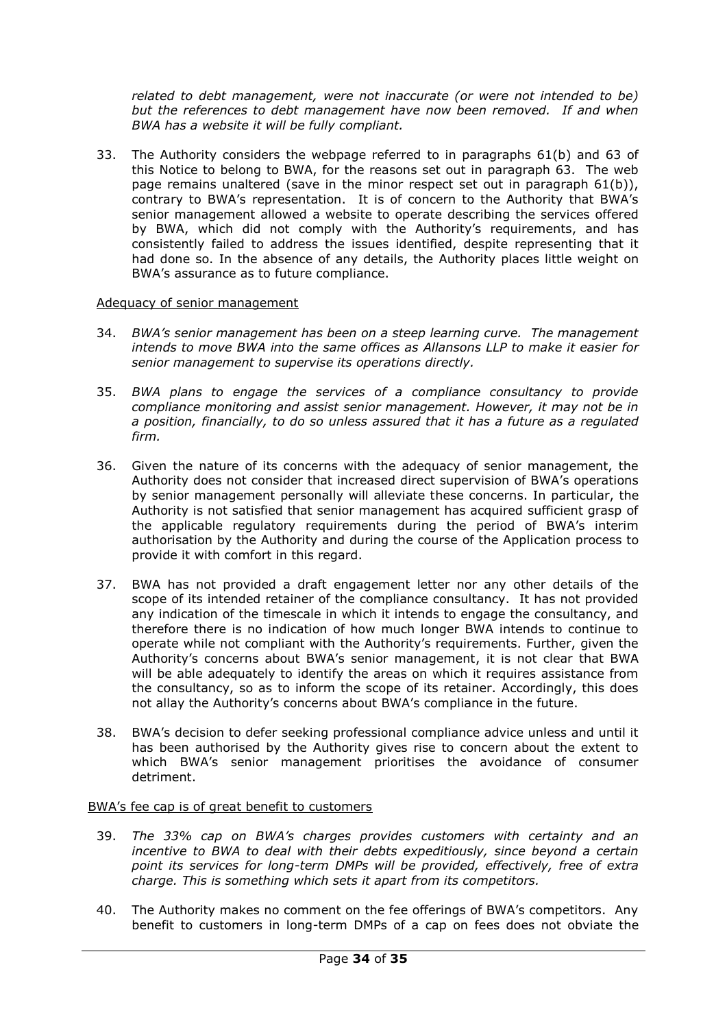*related to debt management, were not inaccurate (or were not intended to be) but the references to debt management have now been removed. If and when BWA has a website it will be fully compliant.*

33. The Authority considers the webpage referred to in paragraphs 61(b) and 63 of this Notice to belong to BWA, for the reasons set out in paragraph 63. The web page remains unaltered (save in the minor respect set out in paragraph 61(b)), contrary to BWA's representation. It is of concern to the Authority that BWA's senior management allowed a website to operate describing the services offered by BWA, which did not comply with the Authority's requirements, and has consistently failed to address the issues identified, despite representing that it had done so. In the absence of any details, the Authority places little weight on BWA's assurance as to future compliance.

### Adequacy of senior management

- 34. *BWA's senior management has been on a steep learning curve. The management intends to move BWA into the same offices as Allansons LLP to make it easier for senior management to supervise its operations directly.*
- 35. *BWA plans to engage the services of a compliance consultancy to provide compliance monitoring and assist senior management. However, it may not be in a position, financially, to do so unless assured that it has a future as a regulated firm.*
- 36. Given the nature of its concerns with the adequacy of senior management, the Authority does not consider that increased direct supervision of BWA's operations by senior management personally will alleviate these concerns. In particular, the Authority is not satisfied that senior management has acquired sufficient grasp of the applicable regulatory requirements during the period of BWA's interim authorisation by the Authority and during the course of the Application process to provide it with comfort in this regard.
- 37. BWA has not provided a draft engagement letter nor any other details of the scope of its intended retainer of the compliance consultancy. It has not provided any indication of the timescale in which it intends to engage the consultancy, and therefore there is no indication of how much longer BWA intends to continue to operate while not compliant with the Authority's requirements. Further, given the Authority's concerns about BWA's senior management, it is not clear that BWA will be able adequately to identify the areas on which it requires assistance from the consultancy, so as to inform the scope of its retainer. Accordingly, this does not allay the Authority's concerns about BWA's compliance in the future.
- 38. BWA's decision to defer seeking professional compliance advice unless and until it has been authorised by the Authority gives rise to concern about the extent to which BWA's senior management prioritises the avoidance of consumer detriment.

### BWA's fee cap is of great benefit to customers

- 39. *The 33% cap on BWA's charges provides customers with certainty and an incentive to BWA to deal with their debts expeditiously, since beyond a certain point its services for long-term DMPs will be provided, effectively, free of extra charge. This is something which sets it apart from its competitors.*
- 40. The Authority makes no comment on the fee offerings of BWA's competitors. Any benefit to customers in long-term DMPs of a cap on fees does not obviate the